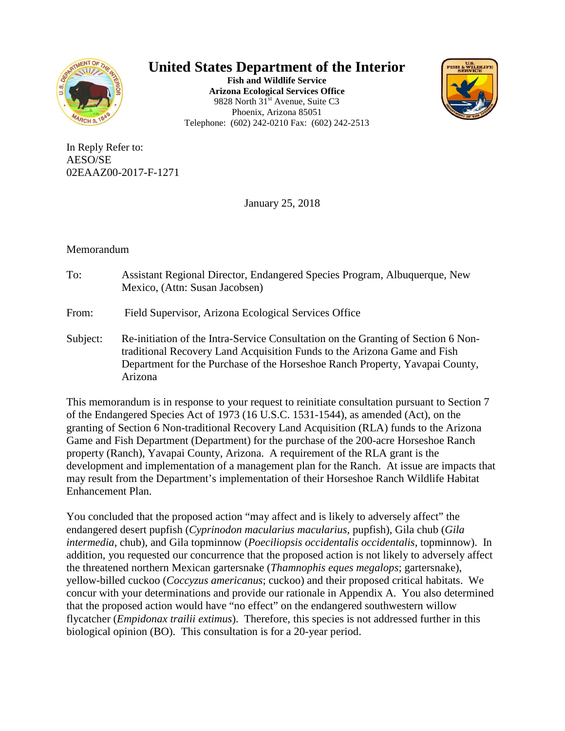

**United States Department of the Interior**

**Fish and Wildlife Service Arizona Ecological Services Office** 9828 North 31<sup>st</sup> Avenue, Suite C3 Phoenix, Arizona 85051 Telephone: (602) 242-0210 Fax: (602) 242-2513



In Reply Refer to: AESO/SE 02EAAZ00-2017-F-1271

January 25, 2018

# Memorandum

- To: Assistant Regional Director, Endangered Species Program, Albuquerque, New Mexico, (Attn: Susan Jacobsen)
- From: Field Supervisor, Arizona Ecological Services Office
- Subject: Re-initiation of the Intra-Service Consultation on the Granting of Section 6 Nontraditional Recovery Land Acquisition Funds to the Arizona Game and Fish Department for the Purchase of the Horseshoe Ranch Property, Yavapai County, Arizona

This memorandum is in response to your request to reinitiate consultation pursuant to Section 7 of the Endangered Species Act of 1973 (16 U.S.C. 1531-1544), as amended (Act), on the granting of Section 6 Non-traditional Recovery Land Acquisition (RLA) funds to the Arizona Game and Fish Department (Department) for the purchase of the 200-acre Horseshoe Ranch property (Ranch), Yavapai County, Arizona. A requirement of the RLA grant is the development and implementation of a management plan for the Ranch. At issue are impacts that may result from the Department's implementation of their Horseshoe Ranch Wildlife Habitat Enhancement Plan.

You concluded that the proposed action "may affect and is likely to adversely affect" the endangered desert pupfish (*Cyprinodon macularius macularius*, pupfish), Gila chub (*Gila intermedia*, chub), and Gila topminnow (*Poeciliopsis occidentalis occidentalis*, topminnow). In addition, you requested our concurrence that the proposed action is not likely to adversely affect the threatened northern Mexican gartersnake (*Thamnophis eques megalops*; gartersnake), yellow-billed cuckoo (*Coccyzus americanus*; cuckoo) and their proposed critical habitats. We concur with your determinations and provide our rationale in Appendix A. You also determined that the proposed action would have "no effect" on the endangered southwestern willow flycatcher (*Empidonax trailii extimus*). Therefore, this species is not addressed further in this biological opinion (BO). This consultation is for a 20-year period.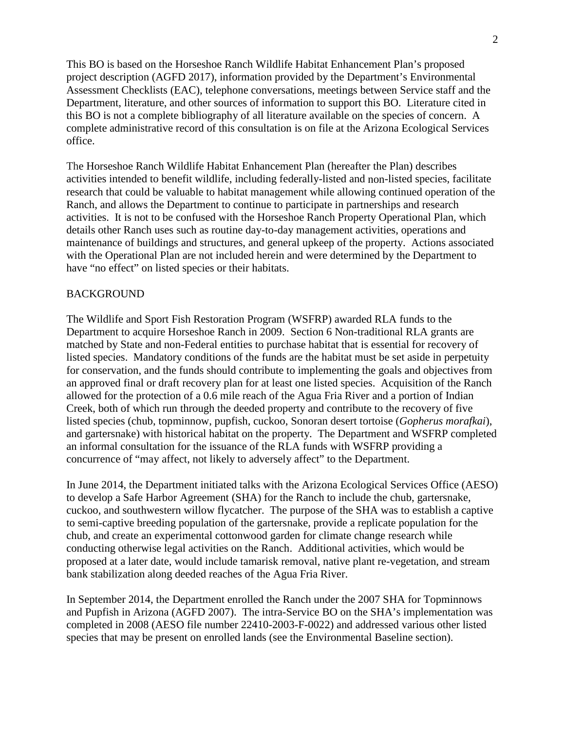This BO is based on the Horseshoe Ranch Wildlife Habitat Enhancement Plan's proposed project description (AGFD 2017), information provided by the Department's Environmental Assessment Checklists (EAC), telephone conversations, meetings between Service staff and the Department, literature, and other sources of information to support this BO. Literature cited in this BO is not a complete bibliography of all literature available on the species of concern. A complete administrative record of this consultation is on file at the Arizona Ecological Services office.

The Horseshoe Ranch Wildlife Habitat Enhancement Plan (hereafter the Plan) describes activities intended to benefit wildlife, including federally-listed and non-listed species, facilitate research that could be valuable to habitat management while allowing continued operation of the Ranch, and allows the Department to continue to participate in partnerships and research activities. It is not to be confused with the Horseshoe Ranch Property Operational Plan, which details other Ranch uses such as routine day-to-day management activities, operations and maintenance of buildings and structures, and general upkeep of the property. Actions associated with the Operational Plan are not included herein and were determined by the Department to have "no effect" on listed species or their habitats.

### BACKGROUND

The Wildlife and Sport Fish Restoration Program (WSFRP) awarded RLA funds to the Department to acquire Horseshoe Ranch in 2009. Section 6 Non-traditional RLA grants are matched by State and non-Federal entities to purchase habitat that is essential for recovery of listed species. Mandatory conditions of the funds are the habitat must be set aside in perpetuity for conservation, and the funds should contribute to implementing the goals and objectives from an approved final or draft recovery plan for at least one listed species. Acquisition of the Ranch allowed for the protection of a 0.6 mile reach of the Agua Fria River and a portion of Indian Creek, both of which run through the deeded property and contribute to the recovery of five listed species (chub, topminnow, pupfish, cuckoo, Sonoran desert tortoise (*Gopherus morafkai*), and gartersnake) with historical habitat on the property. The Department and WSFRP completed an informal consultation for the issuance of the RLA funds with WSFRP providing a concurrence of "may affect, not likely to adversely affect" to the Department.

In June 2014, the Department initiated talks with the Arizona Ecological Services Office (AESO) to develop a Safe Harbor Agreement (SHA) for the Ranch to include the chub, gartersnake, cuckoo, and southwestern willow flycatcher. The purpose of the SHA was to establish a captive to semi-captive breeding population of the gartersnake, provide a replicate population for the chub, and create an experimental cottonwood garden for climate change research while conducting otherwise legal activities on the Ranch. Additional activities, which would be proposed at a later date, would include tamarisk removal, native plant re-vegetation, and stream bank stabilization along deeded reaches of the Agua Fria River.

In September 2014, the Department enrolled the Ranch under the 2007 SHA for Topminnows and Pupfish in Arizona (AGFD 2007). The intra-Service BO on the SHA's implementation was completed in 2008 (AESO file number 22410-2003-F-0022) and addressed various other listed species that may be present on enrolled lands (see the Environmental Baseline section).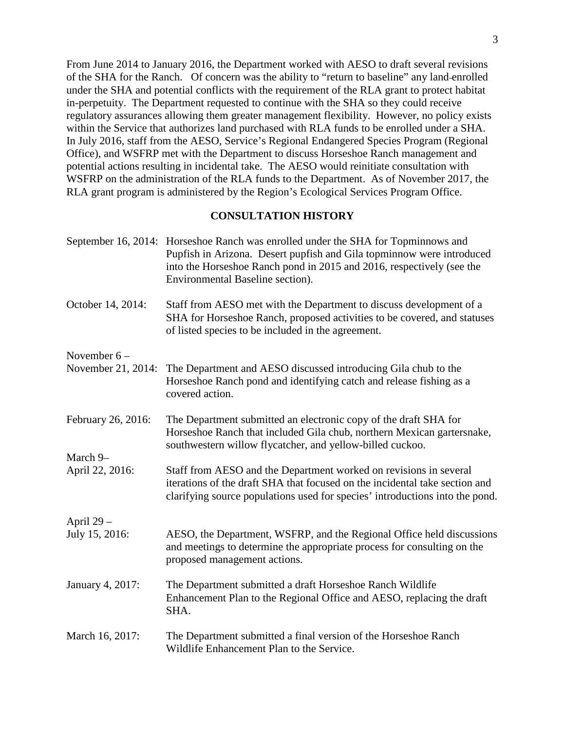From June 2014 to January 2016, the Department worked with AESO to draft several revisions of the SHA for the Ranch. Of concern was the ability to "return to baseline" any land enrolled under the SHA and potential conflicts with the requirement of the RLA grant to protect habitat in-perpetuity. The Department requested to continue with the SHA so they could receive regulatory assurances allowing them greater management flexibility. However, no policy exists within the Service that authorizes land purchased with RLA funds to be enrolled under a SHA. In July 2016, staff from the AESO, Service's Regional Endangered Species Program (Regional Office), and WSFRP met with the Department to discuss Horseshoe Ranch management and potential actions resulting in incidental take. The AESO would reinitiate consultation with WSFRP on the administration of the RLA funds to the Department. As of November 2017, the RLA grant program is administered by the Region's Ecological Services Program Office.

#### **CONSULTATION HISTORY**

- September 16, 2014: Horseshoe Ranch was enrolled under the SHA for Topminnows and Pupfish in Arizona. Desert pupfish and Gila topminnow were introduced into the Horseshoe Ranch pond in 2015 and 2016, respectively (see the Environmental Baseline section).
- October 14, 2014: Staff from AESO met with the Department to discuss development of a SHA for Horseshoe Ranch, proposed activities to be covered, and statuses of listed species to be included in the agreement.

November 6 –

- November 21, 2014: The Department and AESO discussed introducing Gila chub to the Horseshoe Ranch pond and identifying catch and release fishing as a covered action.
- February 26, 2016: The Department submitted an electronic copy of the draft SHA for Horseshoe Ranch that included Gila chub, northern Mexican gartersnake, southwestern willow flycatcher, and yellow-billed cuckoo.
- April 22, 2016: Staff from AESO and the Department worked on revisions in several iterations of the draft SHA that focused on the incidental take section and clarifying source populations used for species' introductions into the pond.

April  $29 -$ 

March 9–

- July 15, 2016: AESO, the Department, WSFRP, and the Regional Office held discussions and meetings to determine the appropriate process for consulting on the proposed management actions.
- January 4, 2017: The Department submitted a draft Horseshoe Ranch Wildlife Enhancement Plan to the Regional Office and AESO, replacing the draft SHA.
- March 16, 2017: The Department submitted a final version of the Horseshoe Ranch Wildlife Enhancement Plan to the Service.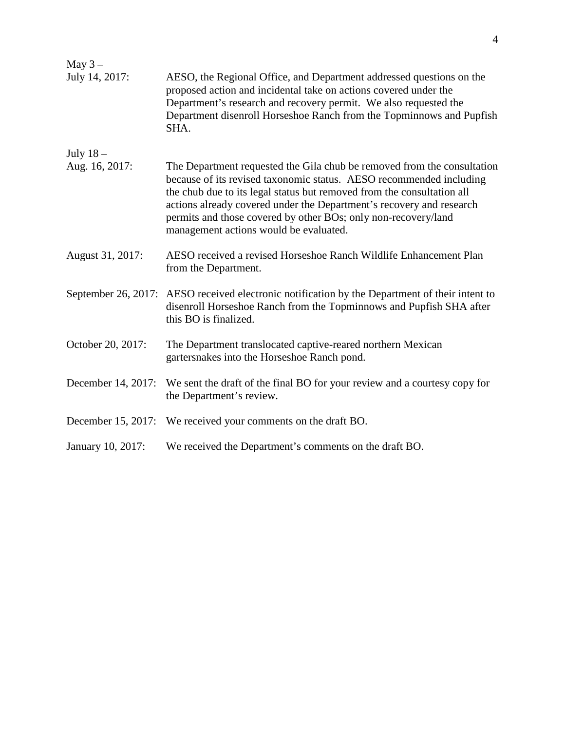| May $3-$           |                                                                                                                                                                                                                                                                                                                                                                                                              |
|--------------------|--------------------------------------------------------------------------------------------------------------------------------------------------------------------------------------------------------------------------------------------------------------------------------------------------------------------------------------------------------------------------------------------------------------|
| July 14, 2017:     | AESO, the Regional Office, and Department addressed questions on the<br>proposed action and incidental take on actions covered under the<br>Department's research and recovery permit. We also requested the<br>Department disenroll Horseshoe Ranch from the Topminnows and Pupfish<br>SHA.                                                                                                                 |
| July $18-$         |                                                                                                                                                                                                                                                                                                                                                                                                              |
| Aug. 16, 2017:     | The Department requested the Gila chub be removed from the consultation<br>because of its revised taxonomic status. AESO recommended including<br>the chub due to its legal status but removed from the consultation all<br>actions already covered under the Department's recovery and research<br>permits and those covered by other BOs; only non-recovery/land<br>management actions would be evaluated. |
| August 31, 2017:   | AESO received a revised Horseshoe Ranch Wildlife Enhancement Plan<br>from the Department.                                                                                                                                                                                                                                                                                                                    |
|                    | September 26, 2017: AESO received electronic notification by the Department of their intent to<br>disenroll Horseshoe Ranch from the Topminnows and Pupfish SHA after<br>this BO is finalized.                                                                                                                                                                                                               |
| October 20, 2017:  | The Department translocated captive-reared northern Mexican<br>gartersnakes into the Horseshoe Ranch pond.                                                                                                                                                                                                                                                                                                   |
| December 14, 2017: | We sent the draft of the final BO for your review and a courtesy copy for<br>the Department's review.                                                                                                                                                                                                                                                                                                        |
|                    | December 15, 2017: We received your comments on the draft BO.                                                                                                                                                                                                                                                                                                                                                |
| January 10, 2017:  | We received the Department's comments on the draft BO.                                                                                                                                                                                                                                                                                                                                                       |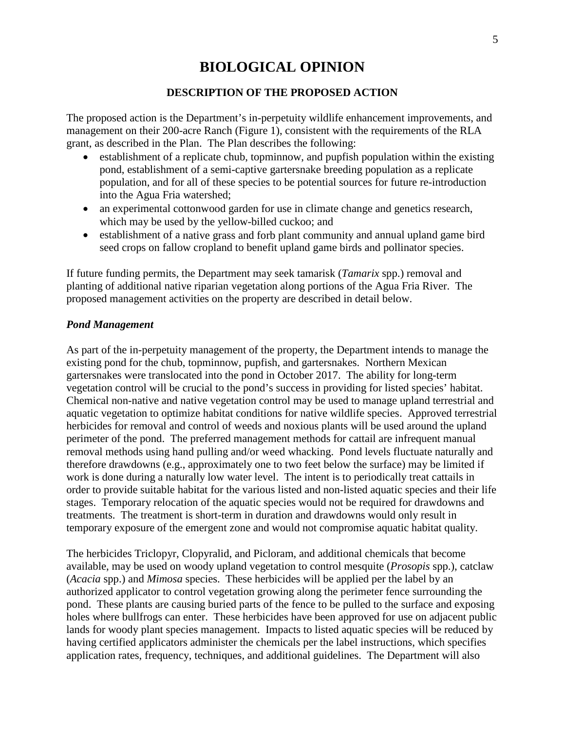# **BIOLOGICAL OPINION**

### **DESCRIPTION OF THE PROPOSED ACTION**

The proposed action is the Department's in-perpetuity wildlife enhancement improvements, and management on their 200-acre Ranch (Figure 1), consistent with the requirements of the RLA grant, as described in the Plan. The Plan describes the following:

- establishment of a replicate chub, topminnow, and pupfish population within the existing pond, establishment of a semi-captive gartersnake breeding population as a replicate population, and for all of these species to be potential sources for future re-introduction into the Agua Fria watershed;
- an experimental cottonwood garden for use in climate change and genetics research, which may be used by the yellow-billed cuckoo; and
- establishment of a native grass and forb plant community and annual upland game bird seed crops on fallow cropland to benefit upland game birds and pollinator species.

If future funding permits, the Department may seek tamarisk (*Tamarix* spp.) removal and planting of additional native riparian vegetation along portions of the Agua Fria River. The proposed management activities on the property are described in detail below.

#### *Pond Management*

As part of the in-perpetuity management of the property, the Department intends to manage the existing pond for the chub, topminnow, pupfish, and gartersnakes. Northern Mexican gartersnakes were translocated into the pond in October 2017. The ability for long-term vegetation control will be crucial to the pond's success in providing for listed species' habitat. Chemical non-native and native vegetation control may be used to manage upland terrestrial and aquatic vegetation to optimize habitat conditions for native wildlife species. Approved terrestrial herbicides for removal and control of weeds and noxious plants will be used around the upland perimeter of the pond. The preferred management methods for cattail are infrequent manual removal methods using hand pulling and/or weed whacking. Pond levels fluctuate naturally and therefore drawdowns (e.g., approximately one to two feet below the surface) may be limited if work is done during a naturally low water level. The intent is to periodically treat cattails in order to provide suitable habitat for the various listed and non-listed aquatic species and their life stages. Temporary relocation of the aquatic species would not be required for drawdowns and treatments. The treatment is short-term in duration and drawdowns would only result in temporary exposure of the emergent zone and would not compromise aquatic habitat quality.

The herbicides Triclopyr, Clopyralid, and Picloram, and additional chemicals that become available, may be used on woody upland vegetation to control mesquite (*Prosopis* spp.), catclaw (*Acacia* spp.) and *Mimosa* species. These herbicides will be applied per the label by an authorized applicator to control vegetation growing along the perimeter fence surrounding the pond. These plants are causing buried parts of the fence to be pulled to the surface and exposing holes where bullfrogs can enter. These herbicides have been approved for use on adjacent public lands for woody plant species management. Impacts to listed aquatic species will be reduced by having certified applicators administer the chemicals per the label instructions, which specifies application rates, frequency, techniques, and additional guidelines. The Department will also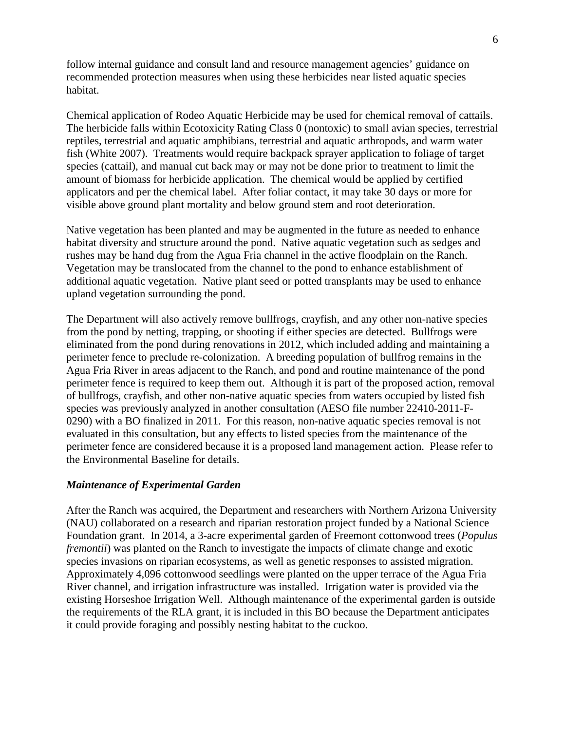follow internal guidance and consult land and resource management agencies' guidance on recommended protection measures when using these herbicides near listed aquatic species habitat.

Chemical application of Rodeo Aquatic Herbicide may be used for chemical removal of cattails. The herbicide falls within Ecotoxicity Rating Class 0 (nontoxic) to small avian species, terrestrial reptiles, terrestrial and aquatic amphibians, terrestrial and aquatic arthropods, and warm water fish (White 2007). Treatments would require backpack sprayer application to foliage of target species (cattail), and manual cut back may or may not be done prior to treatment to limit the amount of biomass for herbicide application. The chemical would be applied by certified applicators and per the chemical label. After foliar contact, it may take 30 days or more for visible above ground plant mortality and below ground stem and root deterioration.

Native vegetation has been planted and may be augmented in the future as needed to enhance habitat diversity and structure around the pond. Native aquatic vegetation such as sedges and rushes may be hand dug from the Agua Fria channel in the active floodplain on the Ranch. Vegetation may be translocated from the channel to the pond to enhance establishment of additional aquatic vegetation. Native plant seed or potted transplants may be used to enhance upland vegetation surrounding the pond.

The Department will also actively remove bullfrogs, crayfish, and any other non-native species from the pond by netting, trapping, or shooting if either species are detected. Bullfrogs were eliminated from the pond during renovations in 2012, which included adding and maintaining a perimeter fence to preclude re-colonization. A breeding population of bullfrog remains in the Agua Fria River in areas adjacent to the Ranch, and pond and routine maintenance of the pond perimeter fence is required to keep them out. Although it is part of the proposed action, removal of bullfrogs, crayfish, and other non-native aquatic species from waters occupied by listed fish species was previously analyzed in another consultation (AESO file number 22410-2011-F-0290) with a BO finalized in 2011. For this reason, non-native aquatic species removal is not evaluated in this consultation, but any effects to listed species from the maintenance of the perimeter fence are considered because it is a proposed land management action. Please refer to the Environmental Baseline for details.

# *Maintenance of Experimental Garden*

After the Ranch was acquired, the Department and researchers with Northern Arizona University (NAU) collaborated on a research and riparian restoration project funded by a National Science Foundation grant. In 2014, a 3-acre experimental garden of Freemont cottonwood trees (*Populus fremontii*) was planted on the Ranch to investigate the impacts of climate change and exotic species invasions on riparian ecosystems, as well as genetic responses to assisted migration. Approximately 4,096 cottonwood seedlings were planted on the upper terrace of the Agua Fria River channel, and irrigation infrastructure was installed. Irrigation water is provided via the existing Horseshoe Irrigation Well. Although maintenance of the experimental garden is outside the requirements of the RLA grant, it is included in this BO because the Department anticipates it could provide foraging and possibly nesting habitat to the cuckoo.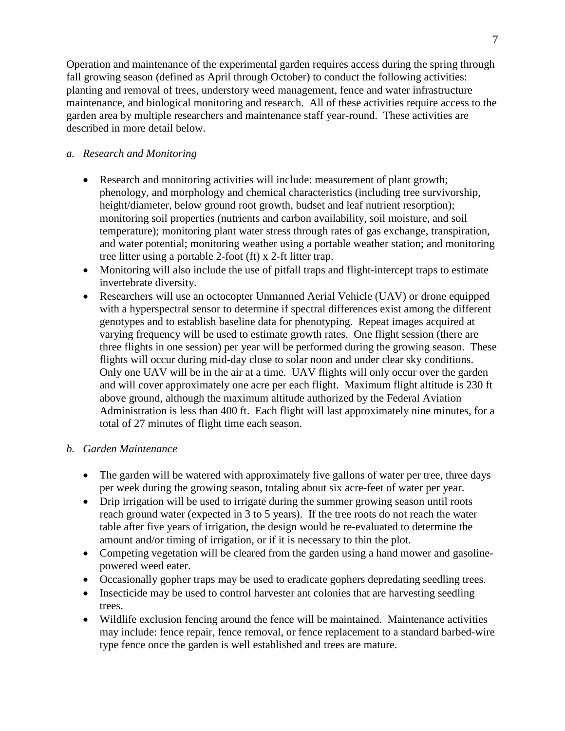Operation and maintenance of the experimental garden requires access during the spring through fall growing season (defined as April through October) to conduct the following activities: planting and removal of trees, understory weed management, fence and water infrastructure maintenance, and biological monitoring and research. All of these activities require access to the garden area by multiple researchers and maintenance staff year-round. These activities are described in more detail below.

# *a. Research and Monitoring*

- Research and monitoring activities will include: measurement of plant growth; phenology, and morphology and chemical characteristics (including tree survivorship, height/diameter, below ground root growth, budset and leaf nutrient resorption); monitoring soil properties (nutrients and carbon availability, soil moisture, and soil temperature); monitoring plant water stress through rates of gas exchange, transpiration, and water potential; monitoring weather using a portable weather station; and monitoring tree litter using a portable 2-foot (ft) x 2-ft litter trap.
- Monitoring will also include the use of pitfall traps and flight-intercept traps to estimate invertebrate diversity.
- Researchers will use an octocopter Unmanned Aerial Vehicle (UAV) or drone equipped with a hyperspectral sensor to determine if spectral differences exist among the different genotypes and to establish baseline data for phenotyping. Repeat images acquired at varying frequency will be used to estimate growth rates. One flight session (there are three flights in one session) per year will be performed during the growing season. These flights will occur during mid-day close to solar noon and under clear sky conditions. Only one UAV will be in the air at a time. UAV flights will only occur over the garden and will cover approximately one acre per each flight. Maximum flight altitude is 230 ft above ground, although the maximum altitude authorized by the Federal Aviation Administration is less than 400 ft. Each flight will last approximately nine minutes, for a total of 27 minutes of flight time each season.

# *b. Garden Maintenance*

- The garden will be watered with approximately five gallons of water per tree, three days per week during the growing season, totaling about six acre-feet of water per year.
- Drip irrigation will be used to irrigate during the summer growing season until roots reach ground water (expected in 3 to 5 years). If the tree roots do not reach the water table after five years of irrigation, the design would be re-evaluated to determine the amount and/or timing of irrigation, or if it is necessary to thin the plot.
- Competing vegetation will be cleared from the garden using a hand mower and gasolinepowered weed eater.
- Occasionally gopher traps may be used to eradicate gophers depredating seedling trees.
- Insecticide may be used to control harvester ant colonies that are harvesting seedling trees.
- Wildlife exclusion fencing around the fence will be maintained. Maintenance activities may include: fence repair, fence removal, or fence replacement to a standard barbed-wire type fence once the garden is well established and trees are mature.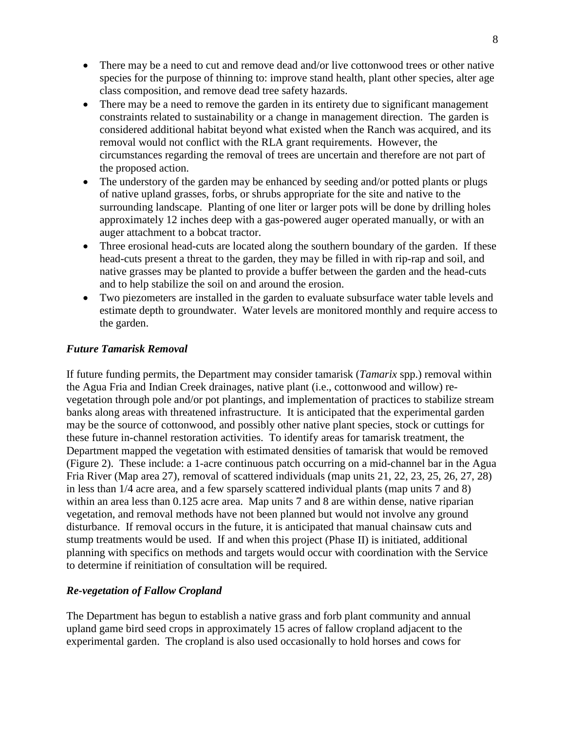- There may be a need to cut and remove dead and/or live cottonwood trees or other native species for the purpose of thinning to: improve stand health, plant other species, alter age class composition, and remove dead tree safety hazards.
- There may be a need to remove the garden in its entirety due to significant management constraints related to sustainability or a change in management direction. The garden is considered additional habitat beyond what existed when the Ranch was acquired, and its removal would not conflict with the RLA grant requirements. However, the circumstances regarding the removal of trees are uncertain and therefore are not part of the proposed action.
- The understory of the garden may be enhanced by seeding and/or potted plants or plugs of native upland grasses, forbs, or shrubs appropriate for the site and native to the surrounding landscape. Planting of one liter or larger pots will be done by drilling holes approximately 12 inches deep with a gas-powered auger operated manually, or with an auger attachment to a bobcat tractor.
- Three erosional head-cuts are located along the southern boundary of the garden. If these head-cuts present a threat to the garden, they may be filled in with rip-rap and soil, and native grasses may be planted to provide a buffer between the garden and the head-cuts and to help stabilize the soil on and around the erosion.
- Two piezometers are installed in the garden to evaluate subsurface water table levels and estimate depth to groundwater. Water levels are monitored monthly and require access to the garden.

# *Future Tamarisk Removal*

If future funding permits, the Department may consider tamarisk (*Tamarix* spp.) removal within the Agua Fria and Indian Creek drainages, native plant (i.e., cottonwood and willow) revegetation through pole and/or pot plantings, and implementation of practices to stabilize stream banks along areas with threatened infrastructure. It is anticipated that the experimental garden may be the source of cottonwood, and possibly other native plant species, stock or cuttings for these future in-channel restoration activities. To identify areas for tamarisk treatment, the Department mapped the vegetation with estimated densities of tamarisk that would be removed (Figure 2). These include: a 1-acre continuous patch occurring on a mid-channel bar in the Agua Fria River (Map area 27), removal of scattered individuals (map units 21, 22, 23, 25, 26, 27, 28) in less than 1/4 acre area, and a few sparsely scattered individual plants (map units 7 and 8) within an area less than 0.125 acre area. Map units 7 and 8 are within dense, native riparian vegetation, and removal methods have not been planned but would not involve any ground disturbance. If removal occurs in the future, it is anticipated that manual chainsaw cuts and stump treatments would be used. If and when this project (Phase II) is initiated, additional planning with specifics on methods and targets would occur with coordination with the Service to determine if reinitiation of consultation will be required.

# *Re-vegetation of Fallow Cropland*

The Department has begun to establish a native grass and forb plant community and annual upland game bird seed crops in approximately 15 acres of fallow cropland adjacent to the experimental garden. The cropland is also used occasionally to hold horses and cows for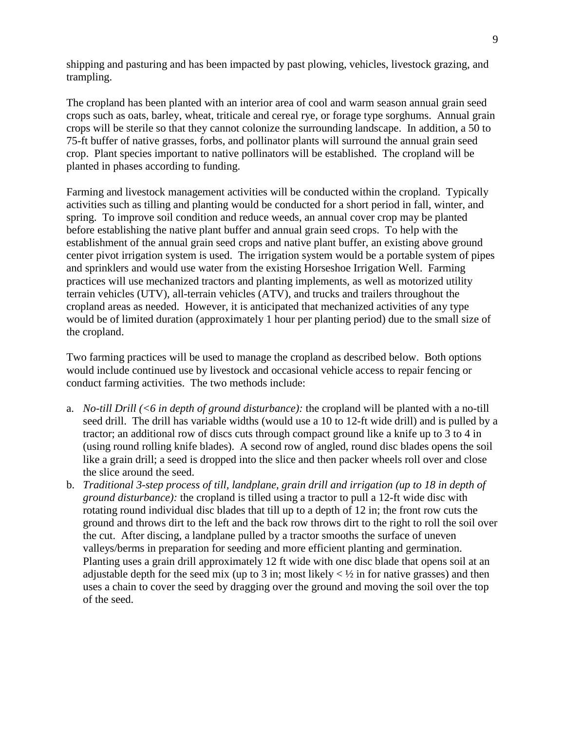shipping and pasturing and has been impacted by past plowing, vehicles, livestock grazing, and trampling.

The cropland has been planted with an interior area of cool and warm season annual grain seed crops such as oats, barley, wheat, triticale and cereal rye, or forage type sorghums. Annual grain crops will be sterile so that they cannot colonize the surrounding landscape. In addition, a 50 to 75-ft buffer of native grasses, forbs, and pollinator plants will surround the annual grain seed crop. Plant species important to native pollinators will be established. The cropland will be planted in phases according to funding.

Farming and livestock management activities will be conducted within the cropland. Typically activities such as tilling and planting would be conducted for a short period in fall, winter, and spring. To improve soil condition and reduce weeds, an annual cover crop may be planted before establishing the native plant buffer and annual grain seed crops. To help with the establishment of the annual grain seed crops and native plant buffer, an existing above ground center pivot irrigation system is used. The irrigation system would be a portable system of pipes and sprinklers and would use water from the existing Horseshoe Irrigation Well. Farming practices will use mechanized tractors and planting implements, as well as motorized utility terrain vehicles (UTV), all-terrain vehicles (ATV), and trucks and trailers throughout the cropland areas as needed. However, it is anticipated that mechanized activities of any type would be of limited duration (approximately 1 hour per planting period) due to the small size of the cropland.

Two farming practices will be used to manage the cropland as described below. Both options would include continued use by livestock and occasional vehicle access to repair fencing or conduct farming activities. The two methods include:

- a. *No-till Drill (<6 in depth of ground disturbance):* the cropland will be planted with a no-till seed drill. The drill has variable widths (would use a 10 to 12-ft wide drill) and is pulled by a tractor; an additional row of discs cuts through compact ground like a knife up to 3 to 4 in (using round rolling knife blades). A second row of angled, round disc blades opens the soil like a grain drill; a seed is dropped into the slice and then packer wheels roll over and close the slice around the seed.
- b. *Traditional 3-step process of till, landplane, grain drill and irrigation (up to 18 in depth of ground disturbance):* the cropland is tilled using a tractor to pull a 12-ft wide disc with rotating round individual disc blades that till up to a depth of 12 in; the front row cuts the ground and throws dirt to the left and the back row throws dirt to the right to roll the soil over the cut. After discing, a landplane pulled by a tractor smooths the surface of uneven valleys/berms in preparation for seeding and more efficient planting and germination. Planting uses a grain drill approximately 12 ft wide with one disc blade that opens soil at an adjustable depth for the seed mix (up to 3 in; most likely  $\lt\frac{1}{2}$  in for native grasses) and then uses a chain to cover the seed by dragging over the ground and moving the soil over the top of the seed.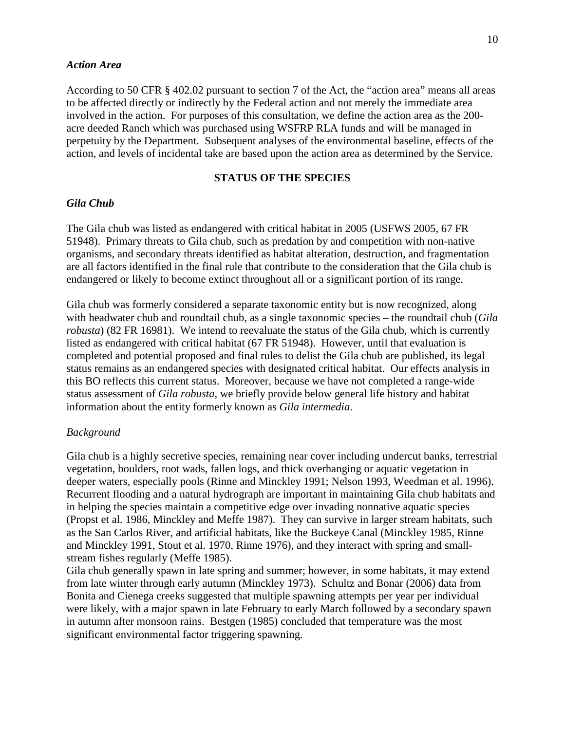#### *Action Area*

According to 50 CFR § 402.02 pursuant to section 7 of the Act, the "action area" means all areas to be affected directly or indirectly by the Federal action and not merely the immediate area involved in the action. For purposes of this consultation, we define the action area as the 200 acre deeded Ranch which was purchased using WSFRP RLA funds and will be managed in perpetuity by the Department. Subsequent analyses of the environmental baseline, effects of the action, and levels of incidental take are based upon the action area as determined by the Service.

#### **STATUS OF THE SPECIES**

### *Gila Chub*

The Gila chub was listed as endangered with critical habitat in 2005 (USFWS 2005, 67 FR 51948). Primary threats to Gila chub, such as predation by and competition with non-native organisms, and secondary threats identified as habitat alteration, destruction, and fragmentation are all factors identified in the final rule that contribute to the consideration that the Gila chub is endangered or likely to become extinct throughout all or a significant portion of its range.

Gila chub was formerly considered a separate taxonomic entity but is now recognized, along with headwater chub and roundtail chub, as a single taxonomic species – the roundtail chub (*Gila robusta*) (82 FR 16981). We intend to reevaluate the status of the Gila chub, which is currently listed as endangered with critical habitat (67 FR 51948). However, until that evaluation is completed and potential proposed and final rules to delist the Gila chub are published, its legal status remains as an endangered species with designated critical habitat. Our effects analysis in this BO reflects this current status. Moreover, because we have not completed a range-wide status assessment of *Gila robusta*, we briefly provide below general life history and habitat information about the entity formerly known as *Gila intermedia*.

#### *Background*

Gila chub is a highly secretive species, remaining near cover including undercut banks, terrestrial vegetation, boulders, root wads, fallen logs, and thick overhanging or aquatic vegetation in deeper waters, especially pools (Rinne and Minckley 1991; Nelson 1993, Weedman et al. 1996). Recurrent flooding and a natural hydrograph are important in maintaining Gila chub habitats and in helping the species maintain a competitive edge over invading nonnative aquatic species (Propst et al. 1986, Minckley and Meffe 1987). They can survive in larger stream habitats, such as the San Carlos River, and artificial habitats, like the Buckeye Canal (Minckley 1985, Rinne and Minckley 1991, Stout et al. 1970, Rinne 1976), and they interact with spring and smallstream fishes regularly (Meffe 1985).

Gila chub generally spawn in late spring and summer; however, in some habitats, it may extend from late winter through early autumn (Minckley 1973). Schultz and Bonar (2006) data from Bonita and Cienega creeks suggested that multiple spawning attempts per year per individual were likely, with a major spawn in late February to early March followed by a secondary spawn in autumn after monsoon rains. Bestgen (1985) concluded that temperature was the most significant environmental factor triggering spawning.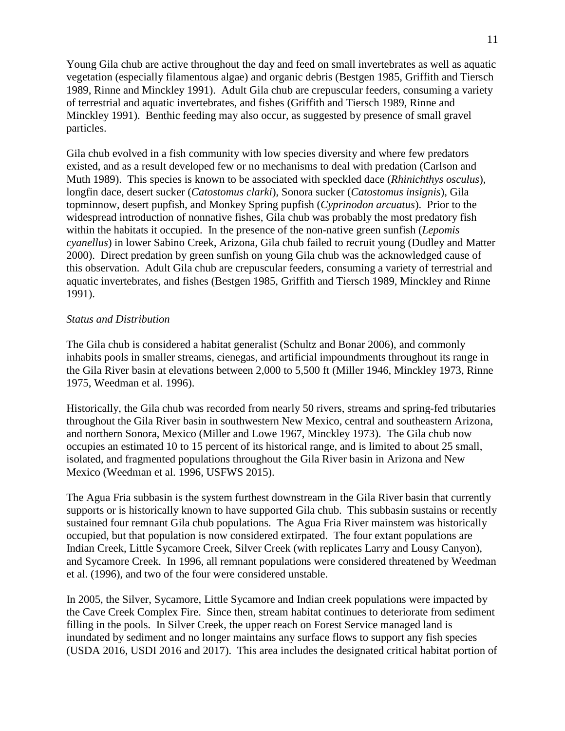Young Gila chub are active throughout the day and feed on small invertebrates as well as aquatic vegetation (especially filamentous algae) and organic debris (Bestgen 1985, Griffith and Tiersch 1989, Rinne and Minckley 1991). Adult Gila chub are crepuscular feeders, consuming a variety of terrestrial and aquatic invertebrates, and fishes (Griffith and Tiersch 1989, Rinne and Minckley 1991). Benthic feeding may also occur, as suggested by presence of small gravel particles.

Gila chub evolved in a fish community with low species diversity and where few predators existed, and as a result developed few or no mechanisms to deal with predation (Carlson and Muth 1989). This species is known to be associated with speckled dace (*Rhinichthys osculus*), longfin dace, desert sucker (*Catostomus clarki*), Sonora sucker (*Catostomus insignis*), Gila topminnow, desert pupfish, and Monkey Spring pupfish (*Cyprinodon arcuatus*). Prior to the widespread introduction of nonnative fishes, Gila chub was probably the most predatory fish within the habitats it occupied. In the presence of the non-native green sunfish (*Lepomis cyanellus*) in lower Sabino Creek, Arizona, Gila chub failed to recruit young (Dudley and Matter 2000). Direct predation by green sunfish on young Gila chub was the acknowledged cause of this observation. Adult Gila chub are crepuscular feeders, consuming a variety of terrestrial and aquatic invertebrates, and fishes (Bestgen 1985, Griffith and Tiersch 1989, Minckley and Rinne 1991).

#### *Status and Distribution*

The Gila chub is considered a habitat generalist (Schultz and Bonar 2006), and commonly inhabits pools in smaller streams, cienegas, and artificial impoundments throughout its range in the Gila River basin at elevations between 2,000 to 5,500 ft (Miller 1946, Minckley 1973, Rinne 1975, Weedman et al*.* 1996).

Historically, the Gila chub was recorded from nearly 50 rivers, streams and spring-fed tributaries throughout the Gila River basin in southwestern New Mexico, central and southeastern Arizona, and northern Sonora, Mexico (Miller and Lowe 1967, Minckley 1973). The Gila chub now occupies an estimated 10 to 15 percent of its historical range, and is limited to about 25 small, isolated, and fragmented populations throughout the Gila River basin in Arizona and New Mexico (Weedman et al. 1996, USFWS 2015).

The Agua Fria subbasin is the system furthest downstream in the Gila River basin that currently supports or is historically known to have supported Gila chub. This subbasin sustains or recently sustained four remnant Gila chub populations. The Agua Fria River mainstem was historically occupied, but that population is now considered extirpated. The four extant populations are Indian Creek, Little Sycamore Creek, Silver Creek (with replicates Larry and Lousy Canyon), and Sycamore Creek. In 1996, all remnant populations were considered threatened by Weedman et al. (1996), and two of the four were considered unstable.

In 2005, the Silver, Sycamore, Little Sycamore and Indian creek populations were impacted by the Cave Creek Complex Fire. Since then, stream habitat continues to deteriorate from sediment filling in the pools. In Silver Creek, the upper reach on Forest Service managed land is inundated by sediment and no longer maintains any surface flows to support any fish species (USDA 2016, USDI 2016 and 2017). This area includes the designated critical habitat portion of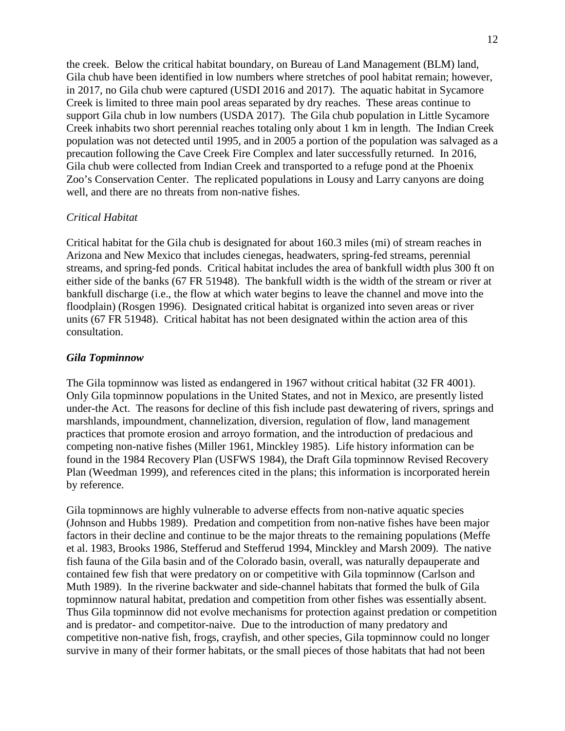the creek. Below the critical habitat boundary, on Bureau of Land Management (BLM) land, Gila chub have been identified in low numbers where stretches of pool habitat remain; however, in 2017, no Gila chub were captured (USDI 2016 and 2017). The aquatic habitat in Sycamore Creek is limited to three main pool areas separated by dry reaches. These areas continue to support Gila chub in low numbers (USDA 2017). The Gila chub population in Little Sycamore Creek inhabits two short perennial reaches totaling only about 1 km in length. The Indian Creek population was not detected until 1995, and in 2005 a portion of the population was salvaged as a precaution following the Cave Creek Fire Complex and later successfully returned. In 2016, Gila chub were collected from Indian Creek and transported to a refuge pond at the Phoenix Zoo's Conservation Center. The replicated populations in Lousy and Larry canyons are doing well, and there are no threats from non-native fishes.

#### *Critical Habitat*

Critical habitat for the Gila chub is designated for about 160.3 miles (mi) of stream reaches in Arizona and New Mexico that includes cienegas, headwaters, spring-fed streams, perennial streams, and spring-fed ponds. Critical habitat includes the area of bankfull width plus 300 ft on either side of the banks (67 FR 51948). The bankfull width is the width of the stream or river at bankfull discharge (i.e., the flow at which water begins to leave the channel and move into the floodplain) (Rosgen 1996). Designated critical habitat is organized into seven areas or river units (67 FR 51948). Critical habitat has not been designated within the action area of this consultation.

#### *Gila Topminnow*

The Gila topminnow was listed as endangered in 1967 without critical habitat (32 FR 4001). Only Gila topminnow populations in the United States, and not in Mexico, are presently listed under-the Act. The reasons for decline of this fish include past dewatering of rivers, springs and marshlands, impoundment, channelization, diversion, regulation of flow, land management practices that promote erosion and arroyo formation, and the introduction of predacious and competing non-native fishes (Miller 1961, Minckley 1985). Life history information can be found in the 1984 Recovery Plan (USFWS 1984), the Draft Gila topminnow Revised Recovery Plan (Weedman 1999), and references cited in the plans; this information is incorporated herein by reference.

Gila topminnows are highly vulnerable to adverse effects from non-native aquatic species (Johnson and Hubbs 1989). Predation and competition from non-native fishes have been major factors in their decline and continue to be the major threats to the remaining populations (Meffe et al. 1983, Brooks 1986, Stefferud and Stefferud 1994, Minckley and Marsh 2009). The native fish fauna of the Gila basin and of the Colorado basin, overall, was naturally depauperate and contained few fish that were predatory on or competitive with Gila topminnow (Carlson and Muth 1989). In the riverine backwater and side-channel habitats that formed the bulk of Gila topminnow natural habitat, predation and competition from other fishes was essentially absent. Thus Gila topminnow did not evolve mechanisms for protection against predation or competition and is predator- and competitor-naive. Due to the introduction of many predatory and competitive non-native fish, frogs, crayfish, and other species, Gila topminnow could no longer survive in many of their former habitats, or the small pieces of those habitats that had not been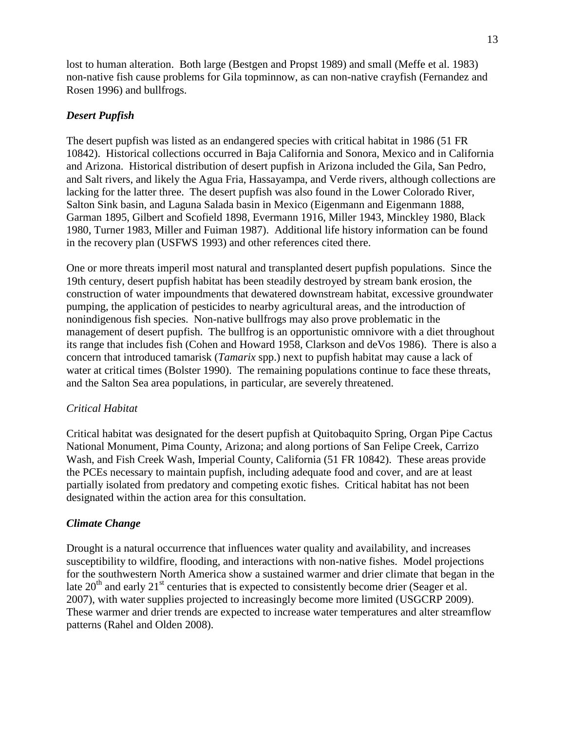lost to human alteration. Both large (Bestgen and Propst 1989) and small (Meffe et al. 1983) non-native fish cause problems for Gila topminnow, as can non-native crayfish (Fernandez and Rosen 1996) and bullfrogs.

### *Desert Pupfish*

The desert pupfish was listed as an endangered species with critical habitat in 1986 (51 FR 10842). Historical collections occurred in Baja California and Sonora, Mexico and in California and Arizona. Historical distribution of desert pupfish in Arizona included the Gila, San Pedro, and Salt rivers, and likely the Agua Fria, Hassayampa, and Verde rivers, although collections are lacking for the latter three. The desert pupfish was also found in the Lower Colorado River, Salton Sink basin, and Laguna Salada basin in Mexico (Eigenmann and Eigenmann 1888, Garman 1895, Gilbert and Scofield 1898, Evermann 1916, Miller 1943, Minckley 1980, Black 1980, Turner 1983, Miller and Fuiman 1987). Additional life history information can be found in the recovery plan (USFWS 1993) and other references cited there.

One or more threats imperil most natural and transplanted desert pupfish populations. Since the 19th century, desert pupfish habitat has been steadily destroyed by stream bank erosion, the construction of water impoundments that dewatered downstream habitat, excessive groundwater pumping, the application of pesticides to nearby agricultural areas, and the introduction of nonindigenous fish species. Non-native bullfrogs may also prove problematic in the management of desert pupfish. The bullfrog is an opportunistic omnivore with a diet throughout its range that includes fish (Cohen and Howard 1958, Clarkson and deVos 1986). There is also a concern that introduced tamarisk (*Tamarix* spp.) next to pupfish habitat may cause a lack of water at critical times (Bolster 1990). The remaining populations continue to face these threats, and the Salton Sea area populations, in particular, are severely threatened.

### *Critical Habitat*

Critical habitat was designated for the desert pupfish at Quitobaquito Spring, Organ Pipe Cactus National Monument, Pima County, Arizona; and along portions of San Felipe Creek, Carrizo Wash, and Fish Creek Wash, Imperial County, California (51 FR 10842). These areas provide the PCEs necessary to maintain pupfish, including adequate food and cover, and are at least partially isolated from predatory and competing exotic fishes. Critical habitat has not been designated within the action area for this consultation.

### *Climate Change*

Drought is a natural occurrence that influences water quality and availability, and increases susceptibility to wildfire, flooding, and interactions with non-native fishes. Model projections for the southwestern North America show a sustained warmer and drier climate that began in the late  $20<sup>th</sup>$  and early  $21<sup>st</sup>$  centuries that is expected to consistently become drier (Seager et al. 2007), with water supplies projected to increasingly become more limited (USGCRP 2009). These warmer and drier trends are expected to increase water temperatures and alter streamflow patterns (Rahel and Olden 2008).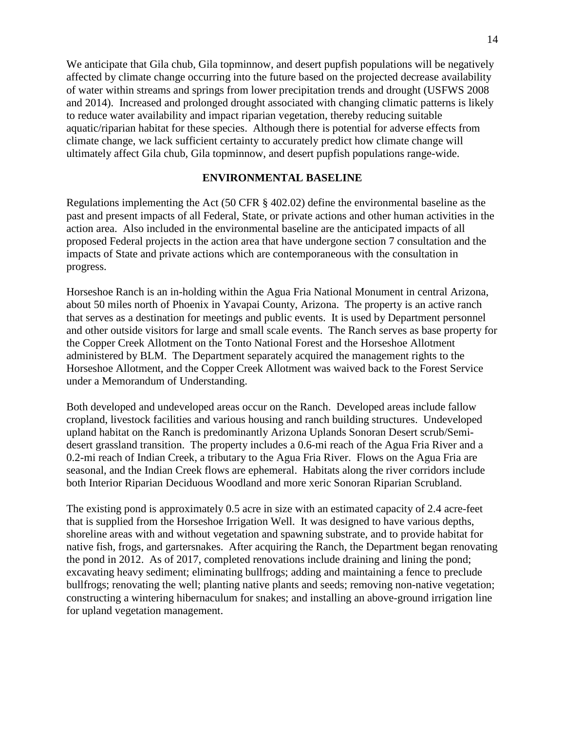We anticipate that Gila chub, Gila topminnow, and desert pupfish populations will be negatively affected by climate change occurring into the future based on the projected decrease availability of water within streams and springs from lower precipitation trends and drought (USFWS 2008 and 2014). Increased and prolonged drought associated with changing climatic patterns is likely to reduce water availability and impact riparian vegetation, thereby reducing suitable aquatic/riparian habitat for these species. Although there is potential for adverse effects from climate change, we lack sufficient certainty to accurately predict how climate change will ultimately affect Gila chub, Gila topminnow, and desert pupfish populations range-wide.

### **ENVIRONMENTAL BASELINE**

Regulations implementing the Act (50 CFR § 402.02) define the environmental baseline as the past and present impacts of all Federal, State, or private actions and other human activities in the action area. Also included in the environmental baseline are the anticipated impacts of all proposed Federal projects in the action area that have undergone section 7 consultation and the impacts of State and private actions which are contemporaneous with the consultation in progress.

Horseshoe Ranch is an in-holding within the Agua Fria National Monument in central Arizona, about 50 miles north of Phoenix in Yavapai County, Arizona. The property is an active ranch that serves as a destination for meetings and public events. It is used by Department personnel and other outside visitors for large and small scale events. The Ranch serves as base property for the Copper Creek Allotment on the Tonto National Forest and the Horseshoe Allotment administered by BLM. The Department separately acquired the management rights to the Horseshoe Allotment, and the Copper Creek Allotment was waived back to the Forest Service under a Memorandum of Understanding.

Both developed and undeveloped areas occur on the Ranch. Developed areas include fallow cropland, livestock facilities and various housing and ranch building structures. Undeveloped upland habitat on the Ranch is predominantly Arizona Uplands Sonoran Desert scrub/Semidesert grassland transition. The property includes a 0.6-mi reach of the Agua Fria River and a 0.2-mi reach of Indian Creek, a tributary to the Agua Fria River. Flows on the Agua Fria are seasonal, and the Indian Creek flows are ephemeral. Habitats along the river corridors include both Interior Riparian Deciduous Woodland and more xeric Sonoran Riparian Scrubland.

The existing pond is approximately 0.5 acre in size with an estimated capacity of 2.4 acre-feet that is supplied from the Horseshoe Irrigation Well. It was designed to have various depths, shoreline areas with and without vegetation and spawning substrate, and to provide habitat for native fish, frogs, and gartersnakes. After acquiring the Ranch, the Department began renovating the pond in 2012. As of 2017, completed renovations include draining and lining the pond; excavating heavy sediment; eliminating bullfrogs; adding and maintaining a fence to preclude bullfrogs; renovating the well; planting native plants and seeds; removing non-native vegetation; constructing a wintering hibernaculum for snakes; and installing an above-ground irrigation line for upland vegetation management.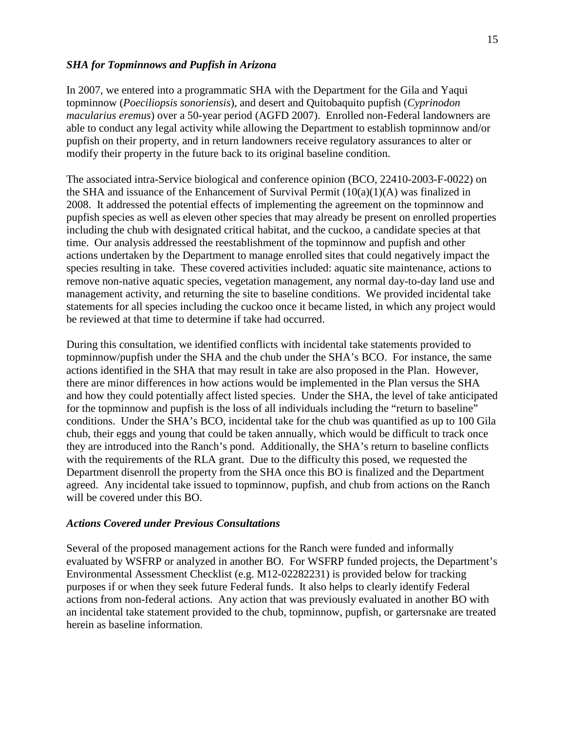#### *SHA for Topminnows and Pupfish in Arizona*

In 2007, we entered into a programmatic SHA with the Department for the Gila and Yaqui topminnow (*Poeciliopsis sonoriensis*), and desert and Quitobaquito pupfish (*Cyprinodon macularius eremus*) over a 50-year period (AGFD 2007). Enrolled non-Federal landowners are able to conduct any legal activity while allowing the Department to establish topminnow and/or pupfish on their property, and in return landowners receive regulatory assurances to alter or modify their property in the future back to its original baseline condition.

The associated intra-Service biological and conference opinion (BCO, 22410-2003-F-0022) on the SHA and issuance of the Enhancement of Survival Permit  $(10(a)(1)(A))$  was finalized in 2008. It addressed the potential effects of implementing the agreement on the topminnow and pupfish species as well as eleven other species that may already be present on enrolled properties including the chub with designated critical habitat, and the cuckoo, a candidate species at that time. Our analysis addressed the reestablishment of the topminnow and pupfish and other actions undertaken by the Department to manage enrolled sites that could negatively impact the species resulting in take. These covered activities included: aquatic site maintenance, actions to remove non-native aquatic species, vegetation management, any normal day-to-day land use and management activity, and returning the site to baseline conditions. We provided incidental take statements for all species including the cuckoo once it became listed, in which any project would be reviewed at that time to determine if take had occurred.

During this consultation, we identified conflicts with incidental take statements provided to topminnow/pupfish under the SHA and the chub under the SHA's BCO. For instance, the same actions identified in the SHA that may result in take are also proposed in the Plan. However, there are minor differences in how actions would be implemented in the Plan versus the SHA and how they could potentially affect listed species. Under the SHA, the level of take anticipated for the topminnow and pupfish is the loss of all individuals including the "return to baseline" conditions. Under the SHA's BCO, incidental take for the chub was quantified as up to 100 Gila chub, their eggs and young that could be taken annually, which would be difficult to track once they are introduced into the Ranch's pond. Additionally, the SHA's return to baseline conflicts with the requirements of the RLA grant. Due to the difficulty this posed, we requested the Department disenroll the property from the SHA once this BO is finalized and the Department agreed. Any incidental take issued to topminnow, pupfish, and chub from actions on the Ranch will be covered under this BO.

### *Actions Covered under Previous Consultations*

Several of the proposed management actions for the Ranch were funded and informally evaluated by WSFRP or analyzed in another BO. For WSFRP funded projects, the Department's Environmental Assessment Checklist (e.g. M12-02282231) is provided below for tracking purposes if or when they seek future Federal funds. It also helps to clearly identify Federal actions from non-federal actions. Any action that was previously evaluated in another BO with an incidental take statement provided to the chub, topminnow, pupfish, or gartersnake are treated herein as baseline information.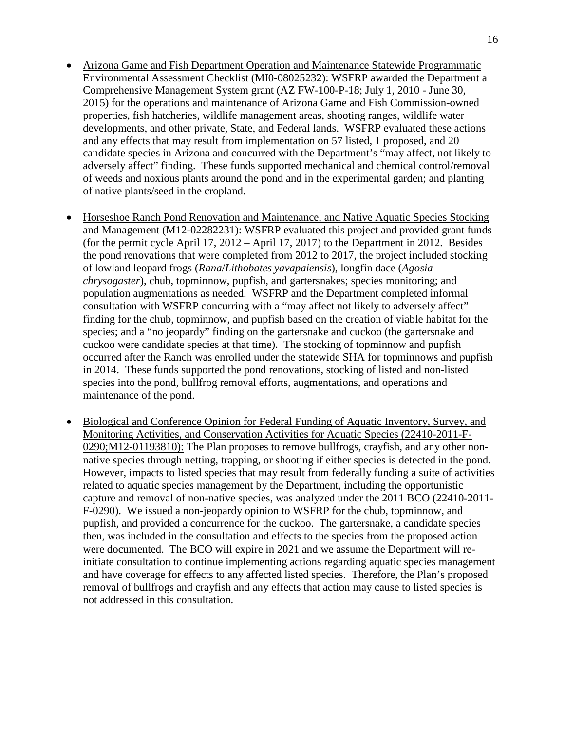- Arizona Game and Fish Department Operation and Maintenance Statewide Programmatic Environmental Assessment Checklist (MI0-08025232): WSFRP awarded the Department a Comprehensive Management System grant (AZ FW-100-P-18; July 1, 2010 - June 30, 2015) for the operations and maintenance of Arizona Game and Fish Commission-owned properties, fish hatcheries, wildlife management areas, shooting ranges, wildlife water developments, and other private, State, and Federal lands. WSFRP evaluated these actions and any effects that may result from implementation on 57 listed, 1 proposed, and 20 candidate species in Arizona and concurred with the Department's "may affect, not likely to adversely affect" finding. These funds supported mechanical and chemical control/removal of weeds and noxious plants around the pond and in the experimental garden; and planting of native plants/seed in the cropland.
- Horseshoe Ranch Pond Renovation and Maintenance, and Native Aquatic Species Stocking and Management (M12-02282231): WSFRP evaluated this project and provided grant funds (for the permit cycle April 17, 2012 – April 17, 2017) to the Department in 2012. Besides the pond renovations that were completed from 2012 to 2017, the project included stocking of lowland leopard frogs (*Rana*/*Lithobates yavapaiensis*), longfin dace (*Agosia chrysogaster*), chub, topminnow, pupfish, and gartersnakes; species monitoring; and population augmentations as needed. WSFRP and the Department completed informal consultation with WSFRP concurring with a "may affect not likely to adversely affect" finding for the chub, topminnow, and pupfish based on the creation of viable habitat for the species; and a "no jeopardy" finding on the gartersnake and cuckoo (the gartersnake and cuckoo were candidate species at that time). The stocking of topminnow and pupfish occurred after the Ranch was enrolled under the statewide SHA for topminnows and pupfish in 2014. These funds supported the pond renovations, stocking of listed and non-listed species into the pond, bullfrog removal efforts, augmentations, and operations and maintenance of the pond.
- Biological and Conference Opinion for Federal Funding of Aquatic Inventory, Survey, and Monitoring Activities, and Conservation Activities for Aquatic Species (22410-2011-F-0290; M12-01193810): The Plan proposes to remove bullfrogs, crayfish, and any other nonnative species through netting, trapping, or shooting if either species is detected in the pond. However, impacts to listed species that may result from federally funding a suite of activities related to aquatic species management by the Department, including the opportunistic capture and removal of non-native species, was analyzed under the 2011 BCO (22410-2011- F-0290). We issued a non-jeopardy opinion to WSFRP for the chub, topminnow, and pupfish, and provided a concurrence for the cuckoo. The gartersnake, a candidate species then, was included in the consultation and effects to the species from the proposed action were documented. The BCO will expire in 2021 and we assume the Department will reinitiate consultation to continue implementing actions regarding aquatic species management and have coverage for effects to any affected listed species. Therefore, the Plan's proposed removal of bullfrogs and crayfish and any effects that action may cause to listed species is not addressed in this consultation.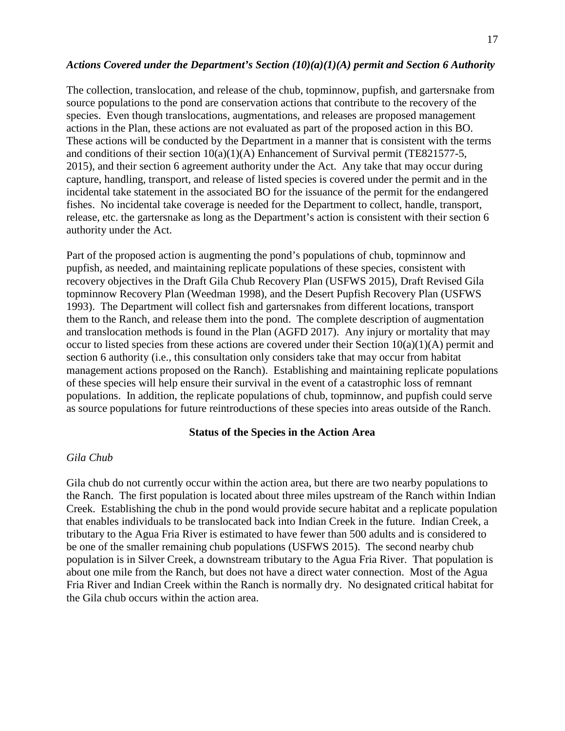#### *Actions Covered under the Department's Section (10)(a)(1)(A) permit and Section 6 Authority*

The collection, translocation, and release of the chub, topminnow, pupfish, and gartersnake from source populations to the pond are conservation actions that contribute to the recovery of the species. Even though translocations, augmentations, and releases are proposed management actions in the Plan, these actions are not evaluated as part of the proposed action in this BO. These actions will be conducted by the Department in a manner that is consistent with the terms and conditions of their section 10(a)(1)(A) Enhancement of Survival permit (TE821577-5, 2015), and their section 6 agreement authority under the Act. Any take that may occur during capture, handling, transport, and release of listed species is covered under the permit and in the incidental take statement in the associated BO for the issuance of the permit for the endangered fishes. No incidental take coverage is needed for the Department to collect, handle, transport, release, etc. the gartersnake as long as the Department's action is consistent with their section 6 authority under the Act.

Part of the proposed action is augmenting the pond's populations of chub, topminnow and pupfish, as needed, and maintaining replicate populations of these species, consistent with recovery objectives in the Draft Gila Chub Recovery Plan (USFWS 2015), Draft Revised Gila topminnow Recovery Plan (Weedman 1998), and the Desert Pupfish Recovery Plan (USFWS 1993). The Department will collect fish and gartersnakes from different locations, transport them to the Ranch, and release them into the pond. The complete description of augmentation and translocation methods is found in the Plan (AGFD 2017). Any injury or mortality that may occur to listed species from these actions are covered under their Section  $10(a)(1)(A)$  permit and section 6 authority (i.e., this consultation only considers take that may occur from habitat management actions proposed on the Ranch). Establishing and maintaining replicate populations of these species will help ensure their survival in the event of a catastrophic loss of remnant populations. In addition, the replicate populations of chub, topminnow, and pupfish could serve as source populations for future reintroductions of these species into areas outside of the Ranch.

#### **Status of the Species in the Action Area**

#### *Gila Chub*

Gila chub do not currently occur within the action area, but there are two nearby populations to the Ranch. The first population is located about three miles upstream of the Ranch within Indian Creek. Establishing the chub in the pond would provide secure habitat and a replicate population that enables individuals to be translocated back into Indian Creek in the future. Indian Creek, a tributary to the Agua Fria River is estimated to have fewer than 500 adults and is considered to be one of the smaller remaining chub populations (USFWS 2015). The second nearby chub population is in Silver Creek, a downstream tributary to the Agua Fria River. That population is about one mile from the Ranch, but does not have a direct water connection. Most of the Agua Fria River and Indian Creek within the Ranch is normally dry. No designated critical habitat for the Gila chub occurs within the action area.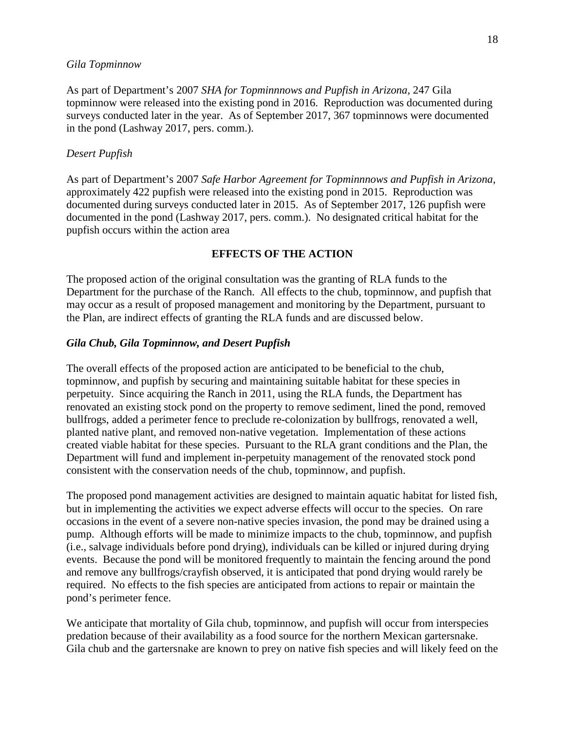#### *Gila Topminnow*

As part of Department's 2007 *SHA for Topminnnows and Pupfish in Arizona,* 247 Gila topminnow were released into the existing pond in 2016. Reproduction was documented during surveys conducted later in the year. As of September 2017, 367 topminnows were documented in the pond (Lashway 2017, pers. comm.).

#### *Desert Pupfish*

As part of Department's 2007 *Safe Harbor Agreement for Topminnnows and Pupfish in Arizona,*  approximately 422 pupfish were released into the existing pond in 2015. Reproduction was documented during surveys conducted later in 2015. As of September 2017, 126 pupfish were documented in the pond (Lashway 2017, pers. comm.). No designated critical habitat for the pupfish occurs within the action area

### **EFFECTS OF THE ACTION**

The proposed action of the original consultation was the granting of RLA funds to the Department for the purchase of the Ranch. All effects to the chub, topminnow, and pupfish that may occur as a result of proposed management and monitoring by the Department, pursuant to the Plan, are indirect effects of granting the RLA funds and are discussed below.

#### *Gila Chub, Gila Topminnow, and Desert Pupfish*

The overall effects of the proposed action are anticipated to be beneficial to the chub, topminnow, and pupfish by securing and maintaining suitable habitat for these species in perpetuity. Since acquiring the Ranch in 2011, using the RLA funds, the Department has renovated an existing stock pond on the property to remove sediment, lined the pond, removed bullfrogs, added a perimeter fence to preclude re-colonization by bullfrogs, renovated a well, planted native plant, and removed non-native vegetation. Implementation of these actions created viable habitat for these species. Pursuant to the RLA grant conditions and the Plan, the Department will fund and implement in-perpetuity management of the renovated stock pond consistent with the conservation needs of the chub, topminnow, and pupfish.

The proposed pond management activities are designed to maintain aquatic habitat for listed fish, but in implementing the activities we expect adverse effects will occur to the species. On rare occasions in the event of a severe non-native species invasion, the pond may be drained using a pump. Although efforts will be made to minimize impacts to the chub, topminnow, and pupfish (i.e., salvage individuals before pond drying), individuals can be killed or injured during drying events. Because the pond will be monitored frequently to maintain the fencing around the pond and remove any bullfrogs/crayfish observed, it is anticipated that pond drying would rarely be required. No effects to the fish species are anticipated from actions to repair or maintain the pond's perimeter fence.

We anticipate that mortality of Gila chub, topminnow, and pupfish will occur from interspecies predation because of their availability as a food source for the northern Mexican gartersnake. Gila chub and the gartersnake are known to prey on native fish species and will likely feed on the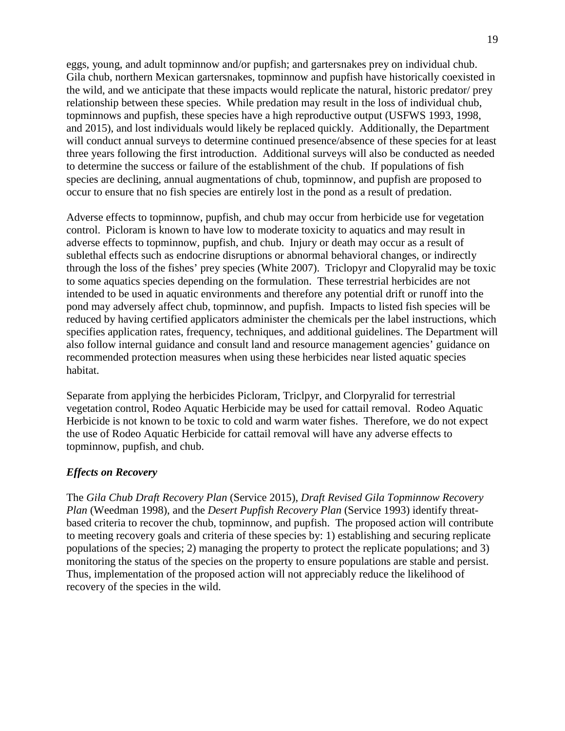eggs, young, and adult topminnow and/or pupfish; and gartersnakes prey on individual chub. Gila chub, northern Mexican gartersnakes, topminnow and pupfish have historically coexisted in the wild, and we anticipate that these impacts would replicate the natural, historic predator/ prey relationship between these species. While predation may result in the loss of individual chub, topminnows and pupfish, these species have a high reproductive output (USFWS 1993, 1998, and 2015), and lost individuals would likely be replaced quickly. Additionally, the Department will conduct annual surveys to determine continued presence/absence of these species for at least three years following the first introduction. Additional surveys will also be conducted as needed to determine the success or failure of the establishment of the chub. If populations of fish species are declining, annual augmentations of chub, topminnow, and pupfish are proposed to occur to ensure that no fish species are entirely lost in the pond as a result of predation.

Adverse effects to topminnow, pupfish, and chub may occur from herbicide use for vegetation control. Picloram is known to have low to moderate toxicity to aquatics and may result in adverse effects to topminnow, pupfish, and chub. Injury or death may occur as a result of sublethal effects such as endocrine disruptions or abnormal behavioral changes, or indirectly through the loss of the fishes' prey species (White 2007). Triclopyr and Clopyralid may be toxic to some aquatics species depending on the formulation. These terrestrial herbicides are not intended to be used in aquatic environments and therefore any potential drift or runoff into the pond may adversely affect chub, topminnow, and pupfish. Impacts to listed fish species will be reduced by having certified applicators administer the chemicals per the label instructions, which specifies application rates, frequency, techniques, and additional guidelines. The Department will also follow internal guidance and consult land and resource management agencies' guidance on recommended protection measures when using these herbicides near listed aquatic species habitat.

Separate from applying the herbicides Picloram, Triclpyr, and Clorpyralid for terrestrial vegetation control, Rodeo Aquatic Herbicide may be used for cattail removal. Rodeo Aquatic Herbicide is not known to be toxic to cold and warm water fishes. Therefore, we do not expect the use of Rodeo Aquatic Herbicide for cattail removal will have any adverse effects to topminnow, pupfish, and chub.

### *Effects on Recovery*

The *Gila Chub Draft Recovery Plan* (Service 2015), *Draft Revised Gila Topminnow Recovery Plan* (Weedman 1998), and the *Desert Pupfish Recovery Plan* (Service 1993) identify threatbased criteria to recover the chub, topminnow, and pupfish. The proposed action will contribute to meeting recovery goals and criteria of these species by: 1) establishing and securing replicate populations of the species; 2) managing the property to protect the replicate populations; and 3) monitoring the status of the species on the property to ensure populations are stable and persist. Thus, implementation of the proposed action will not appreciably reduce the likelihood of recovery of the species in the wild.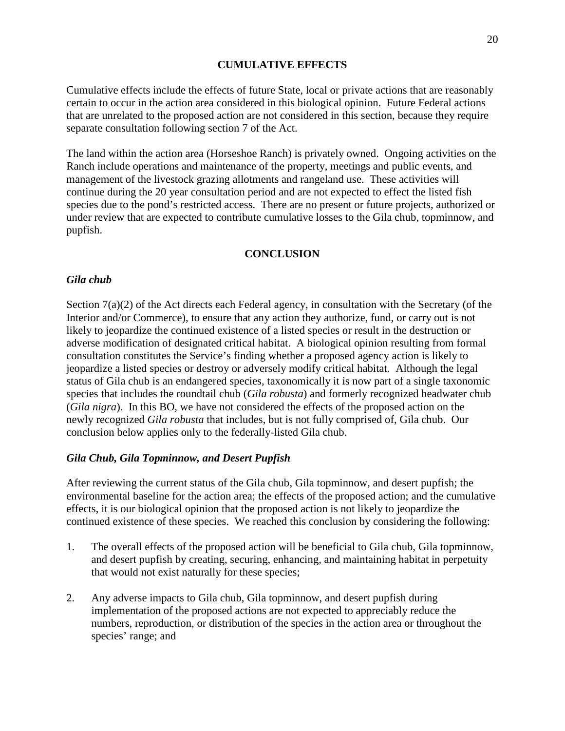### **CUMULATIVE EFFECTS**

Cumulative effects include the effects of future State, local or private actions that are reasonably certain to occur in the action area considered in this biological opinion. Future Federal actions that are unrelated to the proposed action are not considered in this section, because they require separate consultation following section 7 of the Act.

The land within the action area (Horseshoe Ranch) is privately owned. Ongoing activities on the Ranch include operations and maintenance of the property, meetings and public events, and management of the livestock grazing allotments and rangeland use. These activities will continue during the 20 year consultation period and are not expected to effect the listed fish species due to the pond's restricted access. There are no present or future projects, authorized or under review that are expected to contribute cumulative losses to the Gila chub, topminnow, and pupfish.

### **CONCLUSION**

### *Gila chub*

Section 7(a)(2) of the Act directs each Federal agency, in consultation with the Secretary (of the Interior and/or Commerce), to ensure that any action they authorize, fund, or carry out is not likely to jeopardize the continued existence of a listed species or result in the destruction or adverse modification of designated critical habitat. A biological opinion resulting from formal consultation constitutes the Service's finding whether a proposed agency action is likely to jeopardize a listed species or destroy or adversely modify critical habitat. Although the legal status of Gila chub is an endangered species, taxonomically it is now part of a single taxonomic species that includes the roundtail chub (*Gila robusta*) and formerly recognized headwater chub (*Gila nigra*). In this BO, we have not considered the effects of the proposed action on the newly recognized *Gila robusta* that includes, but is not fully comprised of, Gila chub. Our conclusion below applies only to the federally-listed Gila chub.

#### *Gila Chub, Gila Topminnow, and Desert Pupfish*

After reviewing the current status of the Gila chub, Gila topminnow, and desert pupfish; the environmental baseline for the action area; the effects of the proposed action; and the cumulative effects, it is our biological opinion that the proposed action is not likely to jeopardize the continued existence of these species. We reached this conclusion by considering the following:

- 1. The overall effects of the proposed action will be beneficial to Gila chub, Gila topminnow, and desert pupfish by creating, securing, enhancing, and maintaining habitat in perpetuity that would not exist naturally for these species;
- 2. Any adverse impacts to Gila chub, Gila topminnow, and desert pupfish during implementation of the proposed actions are not expected to appreciably reduce the numbers, reproduction, or distribution of the species in the action area or throughout the species' range; and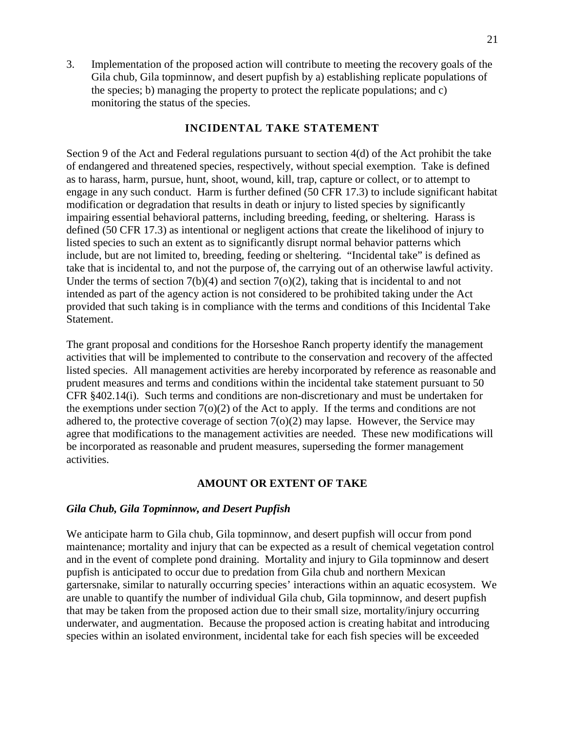3. Implementation of the proposed action will contribute to meeting the recovery goals of the Gila chub, Gila topminnow, and desert pupfish by a) establishing replicate populations of the species; b) managing the property to protect the replicate populations; and c) monitoring the status of the species.

### **INCIDENTAL TAKE STATEMENT**

Section 9 of the Act and Federal regulations pursuant to section 4(d) of the Act prohibit the take of endangered and threatened species, respectively, without special exemption. Take is defined as to harass, harm, pursue, hunt, shoot, wound, kill, trap, capture or collect, or to attempt to engage in any such conduct. Harm is further defined (50 CFR 17.3) to include significant habitat modification or degradation that results in death or injury to listed species by significantly impairing essential behavioral patterns, including breeding, feeding, or sheltering. Harass is defined (50 CFR 17.3) as intentional or negligent actions that create the likelihood of injury to listed species to such an extent as to significantly disrupt normal behavior patterns which include, but are not limited to, breeding, feeding or sheltering. "Incidental take" is defined as take that is incidental to, and not the purpose of, the carrying out of an otherwise lawful activity. Under the terms of section  $7(b)(4)$  and section  $7(o)(2)$ , taking that is incidental to and not intended as part of the agency action is not considered to be prohibited taking under the Act provided that such taking is in compliance with the terms and conditions of this Incidental Take Statement.

The grant proposal and conditions for the Horseshoe Ranch property identify the management activities that will be implemented to contribute to the conservation and recovery of the affected listed species. All management activities are hereby incorporated by reference as reasonable and prudent measures and terms and conditions within the incidental take statement pursuant to 50 CFR §402.14(i). Such terms and conditions are non-discretionary and must be undertaken for the exemptions under section 7(o)(2) of the Act to apply. If the terms and conditions are not adhered to, the protective coverage of section 7(o)(2) may lapse. However, the Service may agree that modifications to the management activities are needed. These new modifications will be incorporated as reasonable and prudent measures, superseding the former management activities.

### **AMOUNT OR EXTENT OF TAKE**

#### *Gila Chub, Gila Topminnow, and Desert Pupfish*

We anticipate harm to Gila chub, Gila topminnow, and desert pupfish will occur from pond maintenance; mortality and injury that can be expected as a result of chemical vegetation control and in the event of complete pond draining. Mortality and injury to Gila topminnow and desert pupfish is anticipated to occur due to predation from Gila chub and northern Mexican gartersnake, similar to naturally occurring species' interactions within an aquatic ecosystem. We are unable to quantify the number of individual Gila chub, Gila topminnow, and desert pupfish that may be taken from the proposed action due to their small size, mortality/injury occurring underwater, and augmentation. Because the proposed action is creating habitat and introducing species within an isolated environment, incidental take for each fish species will be exceeded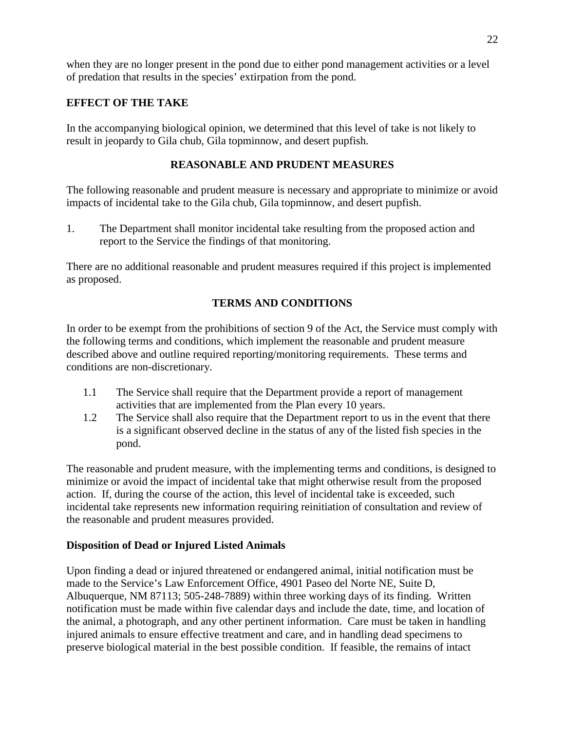when they are no longer present in the pond due to either pond management activities or a level of predation that results in the species' extirpation from the pond.

# **EFFECT OF THE TAKE**

In the accompanying biological opinion, we determined that this level of take is not likely to result in jeopardy to Gila chub, Gila topminnow, and desert pupfish.

# **REASONABLE AND PRUDENT MEASURES**

The following reasonable and prudent measure is necessary and appropriate to minimize or avoid impacts of incidental take to the Gila chub, Gila topminnow, and desert pupfish.

1. The Department shall monitor incidental take resulting from the proposed action and report to the Service the findings of that monitoring.

There are no additional reasonable and prudent measures required if this project is implemented as proposed.

# **TERMS AND CONDITIONS**

In order to be exempt from the prohibitions of section 9 of the Act, the Service must comply with the following terms and conditions, which implement the reasonable and prudent measure described above and outline required reporting/monitoring requirements. These terms and conditions are non-discretionary.

- 1.1 The Service shall require that the Department provide a report of management activities that are implemented from the Plan every 10 years.
- 1.2 The Service shall also require that the Department report to us in the event that there is a significant observed decline in the status of any of the listed fish species in the pond.

The reasonable and prudent measure, with the implementing terms and conditions, is designed to minimize or avoid the impact of incidental take that might otherwise result from the proposed action. If, during the course of the action, this level of incidental take is exceeded, such incidental take represents new information requiring reinitiation of consultation and review of the reasonable and prudent measures provided.

# **Disposition of Dead or Injured Listed Animals**

Upon finding a dead or injured threatened or endangered animal, initial notification must be made to the Service's Law Enforcement Office, 4901 Paseo del Norte NE, Suite D, Albuquerque, NM 87113; 505-248-7889) within three working days of its finding. Written notification must be made within five calendar days and include the date, time, and location of the animal, a photograph, and any other pertinent information. Care must be taken in handling injured animals to ensure effective treatment and care, and in handling dead specimens to preserve biological material in the best possible condition. If feasible, the remains of intact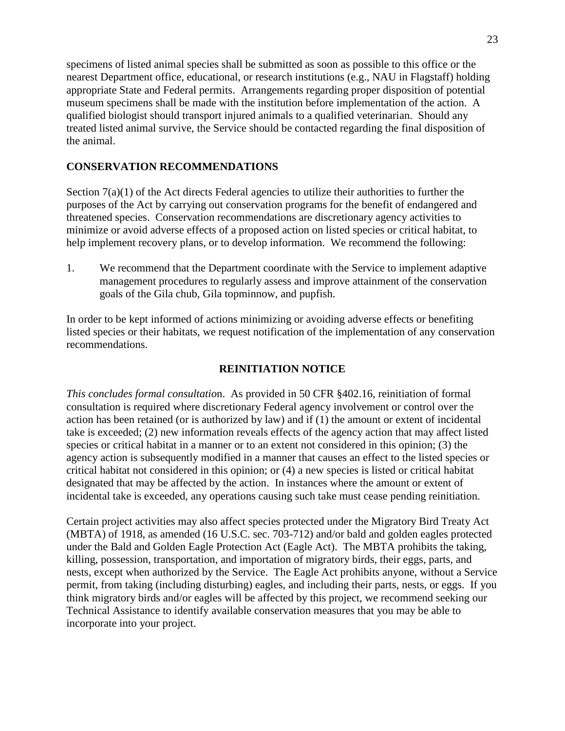specimens of listed animal species shall be submitted as soon as possible to this office or the nearest Department office, educational, or research institutions (e.g., NAU in Flagstaff) holding appropriate State and Federal permits. Arrangements regarding proper disposition of potential museum specimens shall be made with the institution before implementation of the action. A qualified biologist should transport injured animals to a qualified veterinarian. Should any treated listed animal survive, the Service should be contacted regarding the final disposition of the animal.

## **CONSERVATION RECOMMENDATIONS**

Section 7(a)(1) of the Act directs Federal agencies to utilize their authorities to further the purposes of the Act by carrying out conservation programs for the benefit of endangered and threatened species. Conservation recommendations are discretionary agency activities to minimize or avoid adverse effects of a proposed action on listed species or critical habitat, to help implement recovery plans, or to develop information. We recommend the following:

1. We recommend that the Department coordinate with the Service to implement adaptive management procedures to regularly assess and improve attainment of the conservation goals of the Gila chub, Gila topminnow, and pupfish.

In order to be kept informed of actions minimizing or avoiding adverse effects or benefiting listed species or their habitats, we request notification of the implementation of any conservation recommendations.

### **REINITIATION NOTICE**

*This concludes formal consultatio*n. As provided in 50 CFR §402.16, reinitiation of formal consultation is required where discretionary Federal agency involvement or control over the action has been retained (or is authorized by law) and if (1) the amount or extent of incidental take is exceeded; (2) new information reveals effects of the agency action that may affect listed species or critical habitat in a manner or to an extent not considered in this opinion; (3) the agency action is subsequently modified in a manner that causes an effect to the listed species or critical habitat not considered in this opinion; or (4) a new species is listed or critical habitat designated that may be affected by the action. In instances where the amount or extent of incidental take is exceeded, any operations causing such take must cease pending reinitiation.

Certain project activities may also affect species protected under the Migratory Bird Treaty Act (MBTA) of 1918, as amended (16 U.S.C. sec. 703-712) and/or bald and golden eagles protected under the Bald and Golden Eagle Protection Act (Eagle Act). The MBTA prohibits the taking, killing, possession, transportation, and importation of migratory birds, their eggs, parts, and nests, except when authorized by the Service. The Eagle Act prohibits anyone, without a Service permit, from taking (including disturbing) eagles, and including their parts, nests, or eggs. If you think migratory birds and/or eagles will be affected by this project, we recommend seeking our Technical Assistance to identify available conservation measures that you may be able to incorporate into your project.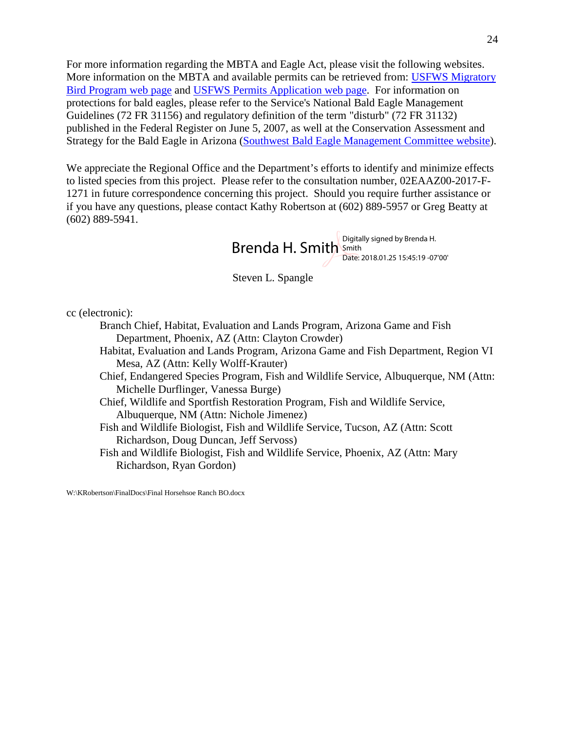For more information regarding the MBTA and Eagle Act, please visit the following websites. More information on the MBTA and available permits can be retrieved from: [USFWS Migratory](http://www.fws.gov/migratorybirds)  [Bird Program web page](http://www.fws.gov/migratorybirds) and [USFWS Permits Application web page.](http://www.fws.gov/migratorybirds/mbpermits.html) For information on protections for bald eagles, please refer to the Service's National Bald Eagle Management Guidelines (72 FR 31156) and regulatory definition of the term "disturb" (72 FR 31132) published in the Federal Register on June 5, 2007, as well at the Conservation Assessment and Strategy for the Bald Eagle in Arizona [\(Southwest Bald Eagle Management Committee website\)](http://swbemc.org/).

We appreciate the Regional Office and the Department's efforts to identify and minimize effects to listed species from this project. Please refer to the consultation number, 02EAAZ00-2017-F-1271 in future correspondence concerning this project. Should you require further assistance or if you have any questions, please contact Kathy Robertson at (602) 889-5957 or Greg Beatty at (602) 889-5941.

> Brenda H. Smith Smith Sale and Brenda H. Date: 2018.01.25 15:45:19 -07'00'

Steven L. Spangle

cc (electronic):

Branch Chief, Habitat, Evaluation and Lands Program, Arizona Game and Fish Department, Phoenix, AZ (Attn: Clayton Crowder)

Habitat, Evaluation and Lands Program, Arizona Game and Fish Department, Region VI Mesa, AZ (Attn: Kelly Wolff-Krauter)

Chief, Endangered Species Program, Fish and Wildlife Service, Albuquerque, NM (Attn: Michelle Durflinger, Vanessa Burge)

Chief, Wildlife and Sportfish Restoration Program, Fish and Wildlife Service, Albuquerque, NM (Attn: Nichole Jimenez)

Fish and Wildlife Biologist, Fish and Wildlife Service, Tucson, AZ (Attn: Scott Richardson, Doug Duncan, Jeff Servoss)

Fish and Wildlife Biologist, Fish and Wildlife Service, Phoenix, AZ (Attn: Mary Richardson, Ryan Gordon)

W:\KRobertson\FinalDocs\Final Horsehsoe Ranch BO.docx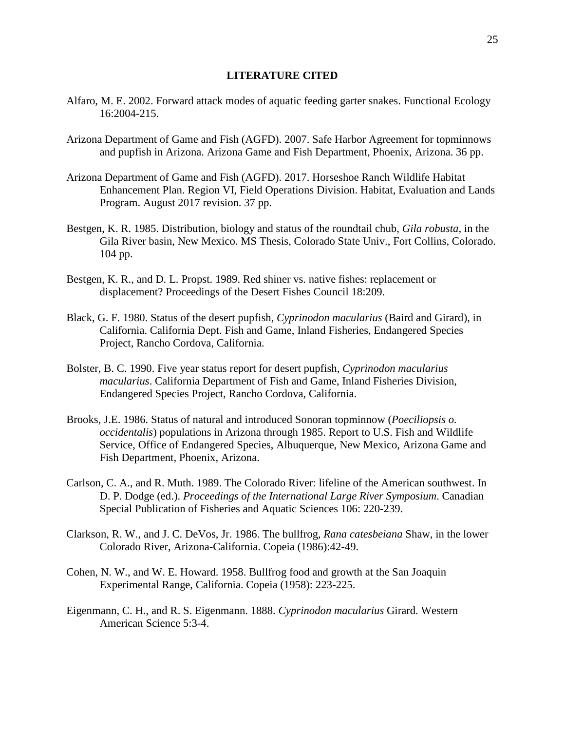#### **LITERATURE CITED**

- Alfaro, M. E. 2002. Forward attack modes of aquatic feeding garter snakes. Functional Ecology 16:2004-215.
- Arizona Department of Game and Fish (AGFD). 2007. Safe Harbor Agreement for topminnows and pupfish in Arizona. Arizona Game and Fish Department, Phoenix, Arizona. 36 pp.
- Arizona Department of Game and Fish (AGFD). 2017. Horseshoe Ranch Wildlife Habitat Enhancement Plan. Region VI, Field Operations Division. Habitat, Evaluation and Lands Program. August 2017 revision. 37 pp.
- Bestgen, K. R. 1985. Distribution, biology and status of the roundtail chub, *Gila robusta*, in the Gila River basin, New Mexico. MS Thesis, Colorado State Univ., Fort Collins, Colorado. 104 pp.
- Bestgen, K. R., and D. L. Propst. 1989. Red shiner vs. native fishes: replacement or displacement? Proceedings of the Desert Fishes Council 18:209.
- Black, G. F. 1980. Status of the desert pupfish, *Cyprinodon macularius* (Baird and Girard), in California. California Dept. Fish and Game, Inland Fisheries, Endangered Species Project, Rancho Cordova, California.
- Bolster, B. C. 1990. Five year status report for desert pupfish, *Cyprinodon macularius macularius*. California Department of Fish and Game, Inland Fisheries Division, Endangered Species Project, Rancho Cordova, California.
- Brooks, J.E. 1986. Status of natural and introduced Sonoran topminnow (*Poeciliopsis o. occidentalis*) populations in Arizona through 1985. Report to U.S. Fish and Wildlife Service, Office of Endangered Species, Albuquerque, New Mexico, Arizona Game and Fish Department, Phoenix, Arizona.
- Carlson, C. A., and R. Muth. 1989. The Colorado River: lifeline of the American southwest. In D. P. Dodge (ed.). *Proceedings of the International Large River Symposium*. Canadian Special Publication of Fisheries and Aquatic Sciences 106: 220-239.
- Clarkson, R. W., and J. C. DeVos, Jr. 1986. The bullfrog, *Rana catesbeiana* Shaw, in the lower Colorado River, Arizona-California. Copeia (1986):42-49.
- Cohen, N. W., and W. E. Howard. 1958. Bullfrog food and growth at the San Joaquin Experimental Range, California. Copeia (1958): 223-225.
- Eigenmann, C. H., and R. S. Eigenmann. 1888. *Cyprinodon macularius* Girard. Western American Science 5:3-4.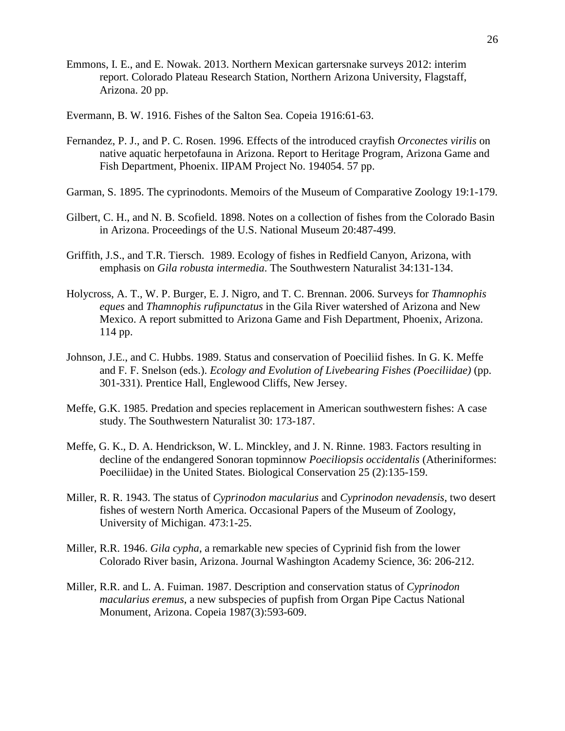- Emmons, I. E., and E. Nowak. 2013. Northern Mexican gartersnake surveys 2012: interim report. Colorado Plateau Research Station, Northern Arizona University, Flagstaff, Arizona. 20 pp.
- Evermann, B. W. 1916. Fishes of the Salton Sea. Copeia 1916:61-63.
- Fernandez, P. J., and P. C. Rosen. 1996. Effects of the introduced crayfish *Orconectes virilis* on native aquatic herpetofauna in Arizona. Report to Heritage Program, Arizona Game and Fish Department, Phoenix. IIPAM Project No. 194054. 57 pp.
- Garman, S. 1895. The cyprinodonts. Memoirs of the Museum of Comparative Zoology 19:1-179.
- Gilbert, C. H., and N. B. Scofield. 1898. Notes on a collection of fishes from the Colorado Basin in Arizona. Proceedings of the U.S. National Museum 20:487-499.
- Griffith, J.S., and T.R. Tiersch. 1989. Ecology of fishes in Redfield Canyon, Arizona, with emphasis on *Gila robusta intermedia*. The Southwestern Naturalist 34:131-134.
- Holycross, A. T., W. P. Burger, E. J. Nigro, and T. C. Brennan. 2006. Surveys for *Thamnophis eques* and *Thamnophis rufipunctatus* in the Gila River watershed of Arizona and New Mexico. A report submitted to Arizona Game and Fish Department, Phoenix, Arizona. 114 pp.
- Johnson, J.E., and C. Hubbs. 1989. Status and conservation of Poeciliid fishes. In G. K. Meffe and F. F. Snelson (eds.). *Ecology and Evolution of Livebearing Fishes (Poeciliidae)* (pp. 301-331). Prentice Hall, Englewood Cliffs, New Jersey.
- Meffe, G.K. 1985. Predation and species replacement in American southwestern fishes: A case study. The Southwestern Naturalist 30: 173-187.
- Meffe, G. K., D. A. Hendrickson, W. L. Minckley, and J. N. Rinne. 1983. Factors resulting in decline of the endangered Sonoran topminnow *Poeciliopsis occidentalis* (Atheriniformes: Poeciliidae) in the United States. Biological Conservation 25 (2):135-159.
- Miller, R. R. 1943. The status of *Cyprinodon macularius* and *Cyprinodon nevadensis*, two desert fishes of western North America. Occasional Papers of the Museum of Zoology, University of Michigan. 473:1-25.
- Miller, R.R. 1946. *Gila cypha*, a remarkable new species of Cyprinid fish from the lower Colorado River basin, Arizona. Journal Washington Academy Science, 36: 206-212.
- Miller, R.R. and L. A. Fuiman. 1987. Description and conservation status of *Cyprinodon macularius eremus*, a new subspecies of pupfish from Organ Pipe Cactus National Monument, Arizona. Copeia 1987(3):593-609.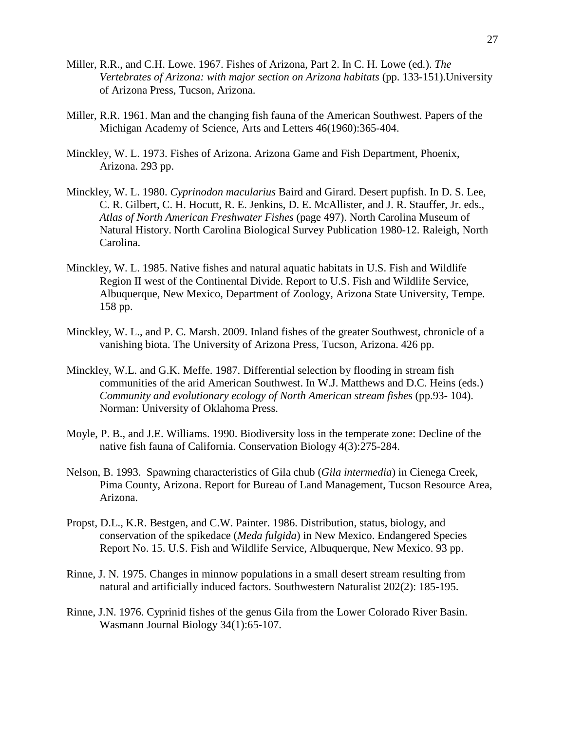- Miller, R.R., and C.H. Lowe. 1967. Fishes of Arizona, Part 2. In C. H. Lowe (ed.). *The Vertebrates of Arizona: with major section on Arizona habitats* (pp. 133-151).University of Arizona Press, Tucson, Arizona.
- Miller, R.R. 1961. Man and the changing fish fauna of the American Southwest. Papers of the Michigan Academy of Science, Arts and Letters 46(1960):365-404.
- Minckley, W. L. 1973. Fishes of Arizona. Arizona Game and Fish Department, Phoenix, Arizona. 293 pp.
- Minckley, W. L. 1980. *Cyprinodon macularius* Baird and Girard. Desert pupfish. In D. S. Lee, C. R. Gilbert, C. H. Hocutt, R. E. Jenkins, D. E. McAllister, and J. R. Stauffer, Jr. eds., *Atlas of North American Freshwater Fishes* (page 497). North Carolina Museum of Natural History. North Carolina Biological Survey Publication 1980-12. Raleigh, North Carolina.
- Minckley, W. L. 1985. Native fishes and natural aquatic habitats in U.S. Fish and Wildlife Region II west of the Continental Divide. Report to U.S. Fish and Wildlife Service, Albuquerque, New Mexico, Department of Zoology, Arizona State University, Tempe. 158 pp.
- Minckley, W. L., and P. C. Marsh. 2009. Inland fishes of the greater Southwest, chronicle of a vanishing biota. The University of Arizona Press, Tucson, Arizona. 426 pp.
- Minckley, W.L. and G.K. Meffe. 1987. Differential selection by flooding in stream fish communities of the arid American Southwest. In W.J. Matthews and D.C. Heins (eds.) *Community and evolutionary ecology of North American stream fishe*s (pp.93- 104). Norman: University of Oklahoma Press.
- Moyle, P. B., and J.E. Williams. 1990. Biodiversity loss in the temperate zone: Decline of the native fish fauna of California. Conservation Biology 4(3):275-284.
- Nelson, B. 1993. Spawning characteristics of Gila chub (*Gila intermedia*) in Cienega Creek, Pima County, Arizona. Report for Bureau of Land Management, Tucson Resource Area, Arizona.
- Propst, D.L., K.R. Bestgen, and C.W. Painter. 1986. Distribution, status, biology, and conservation of the spikedace (*Meda fulgida*) in New Mexico. Endangered Species Report No. 15. U.S. Fish and Wildlife Service, Albuquerque, New Mexico. 93 pp.
- Rinne, J. N. 1975. Changes in minnow populations in a small desert stream resulting from natural and artificially induced factors. Southwestern Naturalist 202(2): 185-195.
- Rinne, J.N. 1976. Cyprinid fishes of the genus Gila from the Lower Colorado River Basin. Wasmann Journal Biology 34(1):65-107.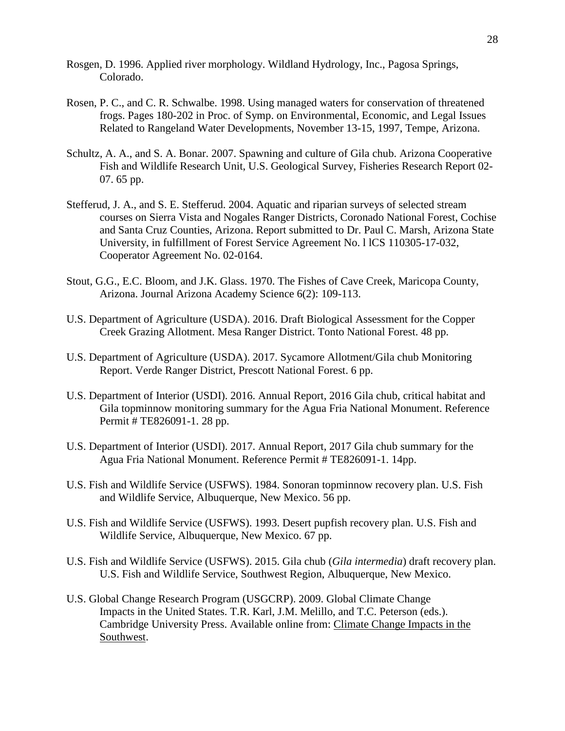- Rosgen, D. 1996. Applied river morphology. Wildland Hydrology, Inc., Pagosa Springs, Colorado.
- Rosen, P. C., and C. R. Schwalbe. 1998. Using managed waters for conservation of threatened frogs. Pages 180-202 in Proc. of Symp. on Environmental, Economic, and Legal Issues Related to Rangeland Water Developments, November 13-15, 1997, Tempe, Arizona.
- Schultz, A. A., and S. A. Bonar. 2007. Spawning and culture of Gila chub. Arizona Cooperative Fish and Wildlife Research Unit, U.S. Geological Survey, Fisheries Research Report 02- 07. 65 pp.
- Stefferud, J. A., and S. E. Stefferud. 2004. Aquatic and riparian surveys of selected stream courses on Sierra Vista and Nogales Ranger Districts, Coronado National Forest, Cochise and Santa Cruz Counties, Arizona. Report submitted to Dr. Paul C. Marsh, Arizona State University, in fulfillment of Forest Service Agreement No. l lCS 110305-17-032, Cooperator Agreement No. 02-0164.
- Stout, G.G., E.C. Bloom, and J.K. Glass. 1970. The Fishes of Cave Creek, Maricopa County, Arizona. Journal Arizona Academy Science 6(2): 109-113.
- U.S. Department of Agriculture (USDA). 2016. Draft Biological Assessment for the Copper Creek Grazing Allotment. Mesa Ranger District. Tonto National Forest. 48 pp.
- U.S. Department of Agriculture (USDA). 2017. Sycamore Allotment/Gila chub Monitoring Report. Verde Ranger District, Prescott National Forest. 6 pp.
- U.S. Department of Interior (USDI). 2016. Annual Report, 2016 Gila chub, critical habitat and Gila topminnow monitoring summary for the Agua Fria National Monument. Reference Permit # TE826091-1. 28 pp.
- U.S. Department of Interior (USDI). 2017. Annual Report, 2017 Gila chub summary for the Agua Fria National Monument. Reference Permit # TE826091-1. 14pp.
- U.S. Fish and Wildlife Service (USFWS). 1984. Sonoran topminnow recovery plan. U.S. Fish and Wildlife Service, Albuquerque, New Mexico. 56 pp.
- U.S. Fish and Wildlife Service (USFWS). 1993. Desert pupfish recovery plan. U.S. Fish and Wildlife Service, Albuquerque, New Mexico. 67 pp.
- U.S. Fish and Wildlife Service (USFWS). 2015. Gila chub (*Gila intermedia*) draft recovery plan. U.S. Fish and Wildlife Service, Southwest Region, Albuquerque, New Mexico.
- U.S. Global Change Research Program (USGCRP). 2009. Global Climate Change Impacts in the United States. T.R. Karl, J.M. Melillo, and T.C. Peterson (eds.). Cambridge University Press. Available online from: [Climate Change Impacts in the](https://nca2009.globalchange.gov/southwest/index.html)  [Southwest.](https://nca2009.globalchange.gov/southwest/index.html)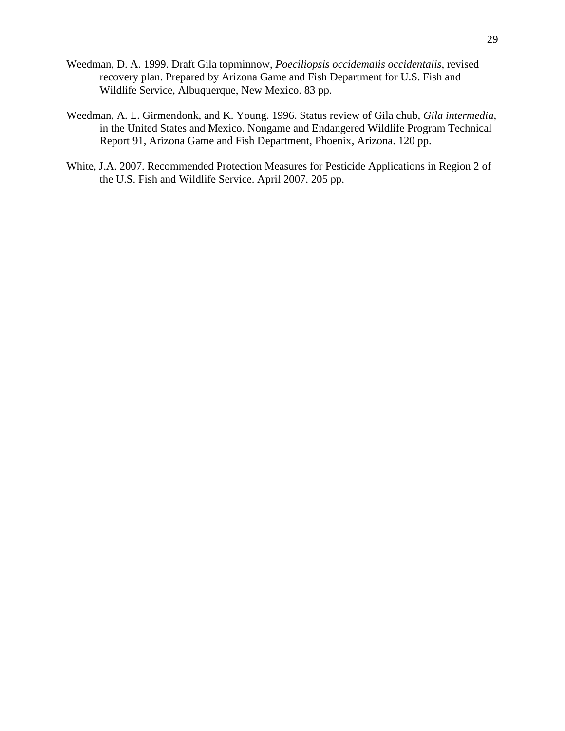- Weedman, D. A. 1999. Draft Gila topminnow, *Poeciliopsis occidemalis occidentalis*, revised recovery plan. Prepared by Arizona Game and Fish Department for U.S. Fish and Wildlife Service, Albuquerque, New Mexico. 83 pp.
- Weedman, A. L. Girmendonk, and K. Young. 1996. Status review of Gila chub, *Gila intermedia*, in the United States and Mexico. Nongame and Endangered Wildlife Program Technical Report 91, Arizona Game and Fish Department, Phoenix, Arizona. 120 pp.
- White, J.A. 2007. Recommended Protection Measures for Pesticide Applications in Region 2 of the U.S. Fish and Wildlife Service. April 2007. 205 pp.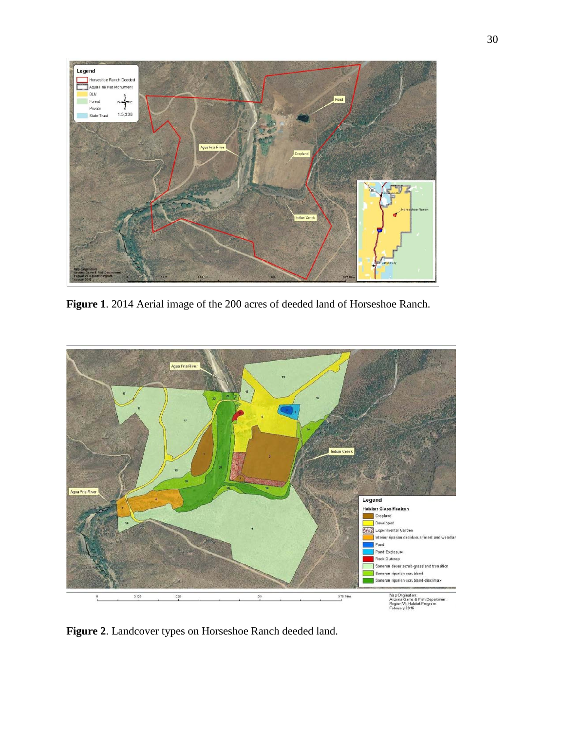

**Figure 1**. 2014 Aerial image of the 200 acres of deeded land of Horseshoe Ranch.



**Figure 2**. Landcover types on Horseshoe Ranch deeded land.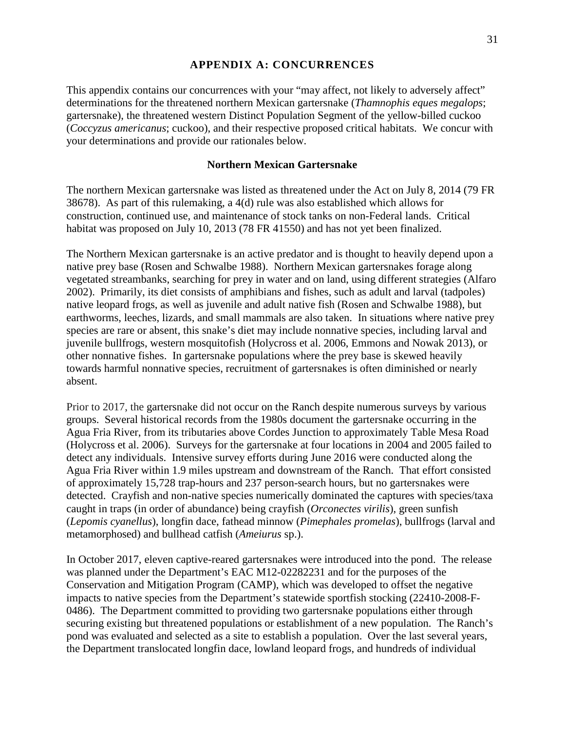### **APPENDIX A: CONCURRENCES**

This appendix contains our concurrences with your "may affect, not likely to adversely affect" determinations for the threatened northern Mexican gartersnake (*Thamnophis eques megalops*; gartersnake), the threatened western Distinct Population Segment of the yellow-billed cuckoo (*Coccyzus americanus*; cuckoo), and their respective proposed critical habitats. We concur with your determinations and provide our rationales below.

### **Northern Mexican Gartersnake**

The northern Mexican gartersnake was listed as threatened under the Act on July 8, 2014 (79 FR 38678). As part of this rulemaking, a 4(d) rule was also established which allows for construction, continued use, and maintenance of stock tanks on non-Federal lands. Critical habitat was proposed on July 10, 2013 (78 FR 41550) and has not yet been finalized.

The Northern Mexican gartersnake is an active predator and is thought to heavily depend upon a native prey base (Rosen and Schwalbe 1988). Northern Mexican gartersnakes forage along vegetated streambanks, searching for prey in water and on land, using different strategies (Alfaro 2002). Primarily, its diet consists of amphibians and fishes, such as adult and larval (tadpoles) native leopard frogs, as well as juvenile and adult native fish (Rosen and Schwalbe 1988), but earthworms, leeches, lizards, and small mammals are also taken. In situations where native prey species are rare or absent, this snake's diet may include nonnative species, including larval and juvenile bullfrogs, western mosquitofish (Holycross et al. 2006, Emmons and Nowak 2013), or other nonnative fishes. In gartersnake populations where the prey base is skewed heavily towards harmful nonnative species, recruitment of gartersnakes is often diminished or nearly absent.

Prior to 2017, the gartersnake did not occur on the Ranch despite numerous surveys by various groups. Several historical records from the 1980s document the gartersnake occurring in the Agua Fria River, from its tributaries above Cordes Junction to approximately Table Mesa Road (Holycross et al. 2006). Surveys for the gartersnake at four locations in 2004 and 2005 failed to detect any individuals. Intensive survey efforts during June 2016 were conducted along the Agua Fria River within 1.9 miles upstream and downstream of the Ranch. That effort consisted of approximately 15,728 trap-hours and 237 person-search hours, but no gartersnakes were detected. Crayfish and non-native species numerically dominated the captures with species/taxa caught in traps (in order of abundance) being crayfish (*Orconectes virilis*), green sunfish (*Lepomis cyanellus*), longfin dace, fathead minnow (*Pimephales promelas*), bullfrogs (larval and metamorphosed) and bullhead catfish (*Ameiurus* sp.).

In October 2017, eleven captive-reared gartersnakes were introduced into the pond. The release was planned under the Department's EAC M12-02282231 and for the purposes of the Conservation and Mitigation Program (CAMP), which was developed to offset the negative impacts to native species from the Department's statewide sportfish stocking (22410-2008-F-0486). The Department committed to providing two gartersnake populations either through securing existing but threatened populations or establishment of a new population. The Ranch's pond was evaluated and selected as a site to establish a population. Over the last several years, the Department translocated longfin dace, lowland leopard frogs, and hundreds of individual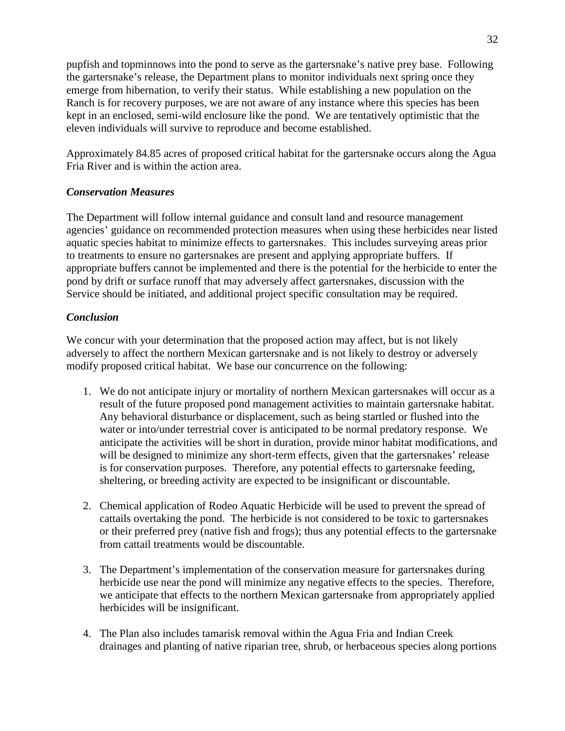pupfish and topminnows into the pond to serve as the gartersnake's native prey base. Following the gartersnake's release, the Department plans to monitor individuals next spring once they emerge from hibernation, to verify their status. While establishing a new population on the Ranch is for recovery purposes, we are not aware of any instance where this species has been kept in an enclosed, semi-wild enclosure like the pond. We are tentatively optimistic that the eleven individuals will survive to reproduce and become established.

Approximately 84.85 acres of proposed critical habitat for the gartersnake occurs along the Agua Fria River and is within the action area.

### *Conservation Measures*

The Department will follow internal guidance and consult land and resource management agencies' guidance on recommended protection measures when using these herbicides near listed aquatic species habitat to minimize effects to gartersnakes. This includes surveying areas prior to treatments to ensure no gartersnakes are present and applying appropriate buffers. If appropriate buffers cannot be implemented and there is the potential for the herbicide to enter the pond by drift or surface runoff that may adversely affect gartersnakes, discussion with the Service should be initiated, and additional project specific consultation may be required.

### *Conclusion*

We concur with your determination that the proposed action may affect, but is not likely adversely to affect the northern Mexican gartersnake and is not likely to destroy or adversely modify proposed critical habitat. We base our concurrence on the following:

- 1. We do not anticipate injury or mortality of northern Mexican gartersnakes will occur as a result of the future proposed pond management activities to maintain gartersnake habitat. Any behavioral disturbance or displacement, such as being startled or flushed into the water or into/under terrestrial cover is anticipated to be normal predatory response. We anticipate the activities will be short in duration, provide minor habitat modifications, and will be designed to minimize any short-term effects, given that the gartersnakes' release is for conservation purposes. Therefore, any potential effects to gartersnake feeding, sheltering, or breeding activity are expected to be insignificant or discountable.
- 2. Chemical application of Rodeo Aquatic Herbicide will be used to prevent the spread of cattails overtaking the pond. The herbicide is not considered to be toxic to gartersnakes or their preferred prey (native fish and frogs); thus any potential effects to the gartersnake from cattail treatments would be discountable.
- 3. The Department's implementation of the conservation measure for gartersnakes during herbicide use near the pond will minimize any negative effects to the species. Therefore, we anticipate that effects to the northern Mexican gartersnake from appropriately applied herbicides will be insignificant.
- 4. The Plan also includes tamarisk removal within the Agua Fria and Indian Creek drainages and planting of native riparian tree, shrub, or herbaceous species along portions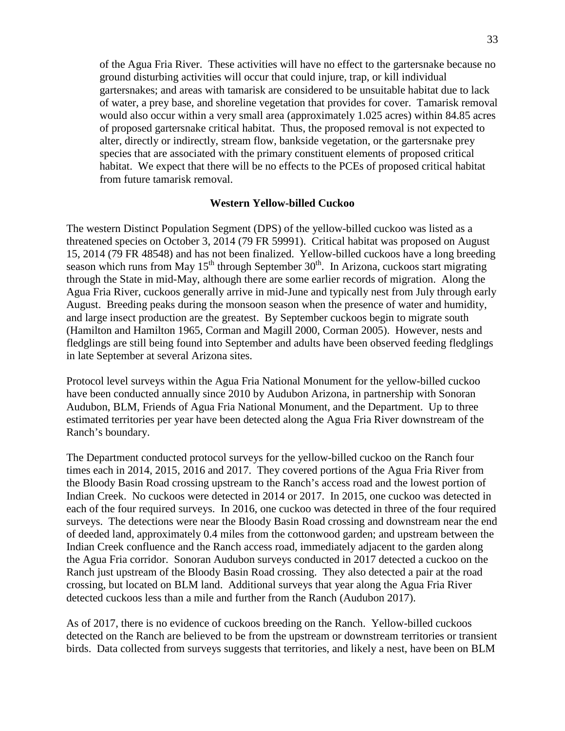of the Agua Fria River. These activities will have no effect to the gartersnake because no ground disturbing activities will occur that could injure, trap, or kill individual gartersnakes; and areas with tamarisk are considered to be unsuitable habitat due to lack of water, a prey base, and shoreline vegetation that provides for cover. Tamarisk removal would also occur within a very small area (approximately 1.025 acres) within 84.85 acres of proposed gartersnake critical habitat. Thus, the proposed removal is not expected to alter, directly or indirectly, stream flow, bankside vegetation, or the gartersnake prey species that are associated with the primary constituent elements of proposed critical habitat. We expect that there will be no effects to the PCEs of proposed critical habitat from future tamarisk removal.

#### **Western Yellow-billed Cuckoo**

The western Distinct Population Segment (DPS) of the yellow-billed cuckoo was listed as a threatened species on October 3, 2014 (79 FR 59991). Critical habitat was proposed on August 15, 2014 (79 FR 48548) and has not been finalized. Yellow-billed cuckoos have a long breeding season which runs from May  $15<sup>th</sup>$  through September  $30<sup>th</sup>$ . In Arizona, cuckoos start migrating through the State in mid-May, although there are some earlier records of migration. Along the Agua Fria River, cuckoos generally arrive in mid-June and typically nest from July through early August. Breeding peaks during the monsoon season when the presence of water and humidity, and large insect production are the greatest. By September cuckoos begin to migrate south (Hamilton and Hamilton 1965, Corman and Magill 2000, Corman 2005). However, nests and fledglings are still being found into September and adults have been observed feeding fledglings in late September at several Arizona sites.

Protocol level surveys within the Agua Fria National Monument for the yellow-billed cuckoo have been conducted annually since 2010 by Audubon Arizona, in partnership with Sonoran Audubon, BLM, Friends of Agua Fria National Monument, and the Department. Up to three estimated territories per year have been detected along the Agua Fria River downstream of the Ranch's boundary.

The Department conducted protocol surveys for the yellow-billed cuckoo on the Ranch four times each in 2014, 2015, 2016 and 2017. They covered portions of the Agua Fria River from the Bloody Basin Road crossing upstream to the Ranch's access road and the lowest portion of Indian Creek. No cuckoos were detected in 2014 or 2017. In 2015, one cuckoo was detected in each of the four required surveys. In 2016, one cuckoo was detected in three of the four required surveys. The detections were near the Bloody Basin Road crossing and downstream near the end of deeded land, approximately 0.4 miles from the cottonwood garden; and upstream between the Indian Creek confluence and the Ranch access road, immediately adjacent to the garden along the Agua Fria corridor. Sonoran Audubon surveys conducted in 2017 detected a cuckoo on the Ranch just upstream of the Bloody Basin Road crossing. They also detected a pair at the road crossing, but located on BLM land. Additional surveys that year along the Agua Fria River detected cuckoos less than a mile and further from the Ranch (Audubon 2017).

As of 2017, there is no evidence of cuckoos breeding on the Ranch. Yellow-billed cuckoos detected on the Ranch are believed to be from the upstream or downstream territories or transient birds. Data collected from surveys suggests that territories, and likely a nest, have been on BLM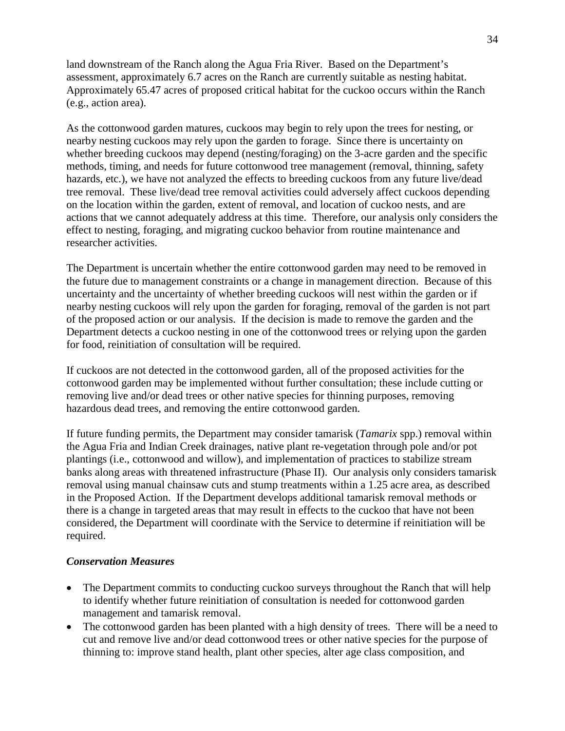land downstream of the Ranch along the Agua Fria River. Based on the Department's assessment, approximately 6.7 acres on the Ranch are currently suitable as nesting habitat. Approximately 65.47 acres of proposed critical habitat for the cuckoo occurs within the Ranch (e.g., action area).

As the cottonwood garden matures, cuckoos may begin to rely upon the trees for nesting, or nearby nesting cuckoos may rely upon the garden to forage. Since there is uncertainty on whether breeding cuckoos may depend (nesting/foraging) on the 3-acre garden and the specific methods, timing, and needs for future cottonwood tree management (removal, thinning, safety hazards, etc.), we have not analyzed the effects to breeding cuckoos from any future live/dead tree removal. These live/dead tree removal activities could adversely affect cuckoos depending on the location within the garden, extent of removal, and location of cuckoo nests, and are actions that we cannot adequately address at this time. Therefore, our analysis only considers the effect to nesting, foraging, and migrating cuckoo behavior from routine maintenance and researcher activities.

The Department is uncertain whether the entire cottonwood garden may need to be removed in the future due to management constraints or a change in management direction. Because of this uncertainty and the uncertainty of whether breeding cuckoos will nest within the garden or if nearby nesting cuckoos will rely upon the garden for foraging, removal of the garden is not part of the proposed action or our analysis. If the decision is made to remove the garden and the Department detects a cuckoo nesting in one of the cottonwood trees or relying upon the garden for food, reinitiation of consultation will be required.

If cuckoos are not detected in the cottonwood garden, all of the proposed activities for the cottonwood garden may be implemented without further consultation; these include cutting or removing live and/or dead trees or other native species for thinning purposes, removing hazardous dead trees, and removing the entire cottonwood garden.

If future funding permits, the Department may consider tamarisk (*Tamarix* spp.) removal within the Agua Fria and Indian Creek drainages, native plant re-vegetation through pole and/or pot plantings (i.e., cottonwood and willow), and implementation of practices to stabilize stream banks along areas with threatened infrastructure (Phase II). Our analysis only considers tamarisk removal using manual chainsaw cuts and stump treatments within a 1.25 acre area, as described in the Proposed Action. If the Department develops additional tamarisk removal methods or there is a change in targeted areas that may result in effects to the cuckoo that have not been considered, the Department will coordinate with the Service to determine if reinitiation will be required.

### *Conservation Measures*

- The Department commits to conducting cuckoo surveys throughout the Ranch that will help to identify whether future reinitiation of consultation is needed for cottonwood garden management and tamarisk removal.
- The cottonwood garden has been planted with a high density of trees. There will be a need to cut and remove live and/or dead cottonwood trees or other native species for the purpose of thinning to: improve stand health, plant other species, alter age class composition, and